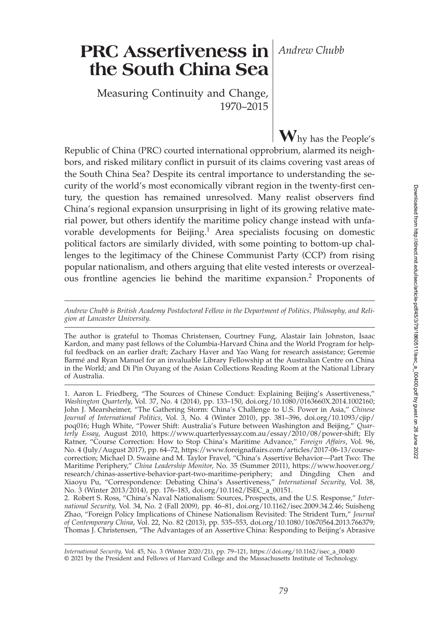# **PRC Assertiveness in** *Andrew Chubb* **the South China Sea**

Measuring Continuity and Change, 1970–2015

**W**hy has the People's Republic of China (PRC) courted international opprobrium, alarmed its neighbors, and risked military conflict in pursuit of its claims covering vast areas of the South China Sea? Despite its central importance to understanding the security of the world's most economically vibrant region in the twenty-first century, the question has remained unresolved. Many realist observers find China's regional expansion unsurprising in light of its growing relative material power, but others identify the maritime policy change instead with unfavorable developments for Beijing.<sup>1</sup> Area specialists focusing on domestic political factors are similarly divided, with some pointing to bottom-up challenges to the legitimacy of the Chinese Communist Party (CCP) from rising popular nationalism, and others arguing that elite vested interests or overzealous frontline agencies lie behind the maritime expansion.<sup>2</sup> Proponents of

*Andrew Chubb is British Academy Postdoctoral Fellow in the Department of Politics, Philosophy, and Religion at Lancaster University*.

The author is grateful to Thomas Christensen, Courtney Fung, Alastair Iain Johnston, Isaac Kardon, and many past fellows of the Columbia-Harvard China and the World Program for helpful feedback on an earlier draft; Zachary Haver and Yao Wang for research assistance; Geremie Barmé and Ryan Manuel for an invaluable Library Fellowship at the Australian Centre on China in the World; and Di Pin Ouyang of the Asian Collections Reading Room at the National Library of Australia.

1. Aaron L. Friedberg, "The Sources of Chinese Conduct: Explaining Beijing's Assertiveness," *Washington Quarterly*, Vol. 37, No. 4 (2014), pp. 133–150, doi.org/10.1080/0163660X.2014.1002160; John J. Mearsheimer, "The Gathering Storm: China's Challenge to U.S. Power in Asia," *Chinese Journal of International Politics*, Vol. 3, No. 4 (Winter 2010), pp. 381–396, doi.org/10.1093/cjip/ poq016; Hugh White, "Power Shift: Australia's Future between Washington and Beijing," *Quarterly Essay*, August 2010, https://www.quarterlyessay.com.au/essay/2010/08/power-shift; Ely Ratner, "Course Correction: How to Stop China's Maritime Advance," *Foreign Affairs*, Vol. 96, No. 4 (July/August 2017), pp. 64–72, https://www.foreignaffairs.com/articles/2017-06-13/coursecorrection; Michael D. Swaine and M. Taylor Fravel, "China's Assertive Behavior—Part Two: The Maritime Periphery," *China Leadership Monitor*, No. 35 (Summer 2011), https://www.hoover.org/ research/chinas-assertive-behavior-part-two-maritime-periphery; and Dingding Chen and Xiaoyu Pu, "Correspondence: Debating China's Assertiveness," *International Security*, Vol. 38, No. 3 (Winter 2013/2014), pp. 176–183, doi.org/10.1162/ISEC\_a\_00151.

2. Robert S. Ross, "China's Naval Nationalism: Sources, Prospects, and the U.S. Response," *International Security*, Vol. 34, No. 2 (Fall 2009), pp. 46–81, doi.org/10.1162/isec.2009.34.2.46; Suisheng Zhao, "Foreign Policy Implications of Chinese Nationalism Revisited: The Strident Turn," *Journal of Contemporary China*, Vol. 22, No. 82 (2013), pp. 535–553, doi.org/10.1080/10670564.2013.766379; Thomas J. Christensen, "The Advantages of an Assertive China: Responding to Beijing's Abrasive

*International Security,* Vol. 45, No. 3 (Winter 2020/21), pp. 79–121, https://doi.org/10.1162/isec\_a\_00400 © 2021 by the President and Fellows of Harvard College and the Massachusetts Institute of Technology.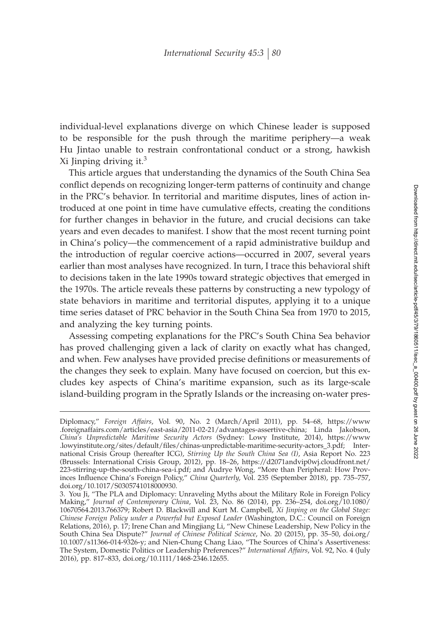individual-level explanations diverge on which Chinese leader is supposed to be responsible for the push through the maritime periphery—a weak Hu Jintao unable to restrain confrontational conduct or a strong, hawkish Xi Jinping driving it. $3$ 

This article argues that understanding the dynamics of the South China Sea conflict depends on recognizing longer-term patterns of continuity and change in the PRC's behavior. In territorial and maritime disputes, lines of action introduced at one point in time have cumulative effects, creating the conditions for further changes in behavior in the future, and crucial decisions can take years and even decades to manifest. I show that the most recent turning point in China's policy—the commencement of a rapid administrative buildup and the introduction of regular coercive actions—occurred in 2007, several years earlier than most analyses have recognized. In turn, I trace this behavioral shift to decisions taken in the late 1990s toward strategic objectives that emerged in the 1970s. The article reveals these patterns by constructing a new typology of state behaviors in maritime and territorial disputes, applying it to a unique time series dataset of PRC behavior in the South China Sea from 1970 to 2015, and analyzing the key turning points.

Assessing competing explanations for the PRC's South China Sea behavior has proved challenging given a lack of clarity on exactly what has changed, and when. Few analyses have provided precise definitions or measurements of the changes they seek to explain. Many have focused on coercion, but this excludes key aspects of China's maritime expansion, such as its large-scale island-building program in the Spratly Islands or the increasing on-water pres-

Diplomacy," *Foreign Affairs*, Vol. 90, No. 2 (March/April 2011), pp. 54–68, https://www .foreignaffairs.com/articles/east-asia/2011-02-21/advantages-assertive-china; Linda Jakobson, *China's Unpredictable Maritime Security Actors* (Sydney: Lowy Institute, 2014), https://www .lowyinstitute.org/sites/default/ªles/chinas-unpredictable-maritime-security-actors\_3.pdf; International Crisis Group (hereafter ICG), *Stirring Up the South China Sea (I)*, Asia Report No. 223 (Brussels: International Crisis Group, 2012), pp. 18–26, https://d2071andvip0wj.cloudfront.net/ 223-stirring-up-the-south-china-sea-i.pdf; and Audrye Wong, "More than Peripheral: How Provinces Influence China's Foreign Policy," *China Quarterly*, Vol. 235 (September 2018), pp. 735–757, doi.org/10.1017/S0305741018000930.

<sup>3.</sup> You Ji, "The PLA and Diplomacy: Unraveling Myths about the Military Role in Foreign Policy Making," *Journal of Contemporary China*, Vol. 23, No. 86 (2014), pp. 236–254, doi.org/10.1080/ 10670564.2013.766379; Robert D. Blackwill and Kurt M. Campbell, *Xi Jinping on the Global Stage: Chinese Foreign Policy under a Powerful but Exposed Leader* (Washington, D.C.: Council on Foreign Relations, 2016), p. 17; Irene Chan and Mingjiang Li, "New Chinese Leadership, New Policy in the South China Sea Dispute?" *Journal of Chinese Political Science*, No. 20 (2015), pp. 35–50, doi.org/ 10.1007/s11366-014-9326-y; and Nien-Chung Chang Liao, "The Sources of China's Assertiveness: The System, Domestic Politics or Leadership Preferences?" *International Affairs*, Vol. 92, No. 4 (July 2016), pp. 817–833, doi.org/10.1111/1468-2346.12655.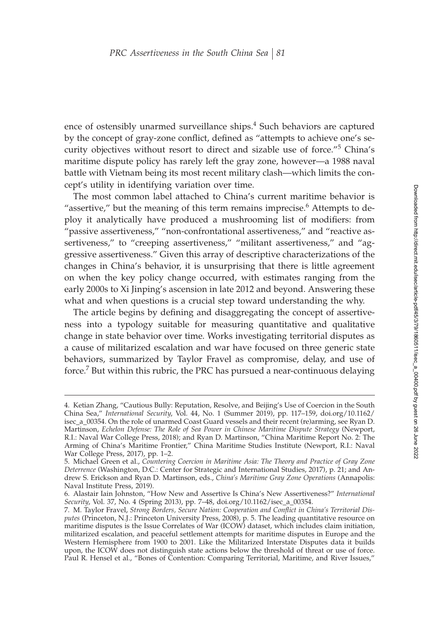ence of ostensibly unarmed surveillance ships.<sup>4</sup> Such behaviors are captured by the concept of gray-zone conflict, defined as "attempts to achieve one's security objectives without resort to direct and sizable use of force."<sup>5</sup> China's maritime dispute policy has rarely left the gray zone, however—a 1988 naval battle with Vietnam being its most recent military clash—which limits the concept's utility in identifying variation over time.

The most common label attached to China's current maritime behavior is "assertive," but the meaning of this term remains imprecise. $6$  Attempts to deploy it analytically have produced a mushrooming list of modifiers: from "passive assertiveness," "non-confrontational assertiveness," and "reactive assertiveness," to "creeping assertiveness," "militant assertiveness," and "aggressive assertiveness." Given this array of descriptive characterizations of the changes in China's behavior, it is unsurprising that there is little agreement on when the key policy change occurred, with estimates ranging from the early 2000s to Xi Jinping's ascension in late 2012 and beyond. Answering these what and when questions is a crucial step toward understanding the why.

The article begins by defining and disaggregating the concept of assertiveness into a typology suitable for measuring quantitative and qualitative change in state behavior over time. Works investigating territorial disputes as a cause of militarized escalation and war have focused on three generic state behaviors, summarized by Taylor Fravel as compromise, delay, and use of force.<sup>7</sup> But within this rubric, the PRC has pursued a near-continuous delaying

<sup>4.</sup> Ketian Zhang, "Cautious Bully: Reputation, Resolve, and Beijing's Use of Coercion in the South China Sea," *International Security*, Vol. 44, No. 1 (Summer 2019), pp. 117–159, doi.org/10.1162/ isec\_a\_00354. On the role of unarmed Coast Guard vessels and their recent (re)arming, see Ryan D. Martinson, *Echelon Defense: The Role of Sea Power in Chinese Maritime Dispute Strategy* (Newport, R.I.: Naval War College Press, 2018); and Ryan D. Martinson, "China Maritime Report No. 2: The Arming of China's Maritime Frontier," China Maritime Studies Institute (Newport, R.I.: Naval War College Press, 2017), pp. 1–2.

<sup>5.</sup> Michael Green et al., *Countering Coercion in Maritime Asia: The Theory and Practice of Gray Zone Deterrence* (Washington, D.C.: Center for Strategic and International Studies, 2017), p. 21; and Andrew S. Erickson and Ryan D. Martinson, eds., *China's Maritime Gray Zone Operations* (Annapolis: Naval Institute Press, 2019).

<sup>6.</sup> Alastair Iain Johnston, "How New and Assertive Is China's New Assertiveness?" *International Security*, Vol. 37, No. 4 (Spring 2013), pp. 7–48, doi.org/10.1162/isec\_a\_00354.

<sup>7.</sup> M. Taylor Fravel*, Strong Borders, Secure Nation: Cooperation and Conflict in China's Territorial Disputes* (Princeton, N.J.: Princeton University Press, 2008), p. 5. The leading quantitative resource on maritime disputes is the Issue Correlates of War (ICOW) dataset, which includes claim initiation, militarized escalation, and peaceful settlement attempts for maritime disputes in Europe and the Western Hemisphere from 1900 to 2001. Like the Militarized Interstate Disputes data it builds upon, the ICOW does not distinguish state actions below the threshold of threat or use of force. Paul R. Hensel et al., "Bones of Contention: Comparing Territorial, Maritime, and River Issues,"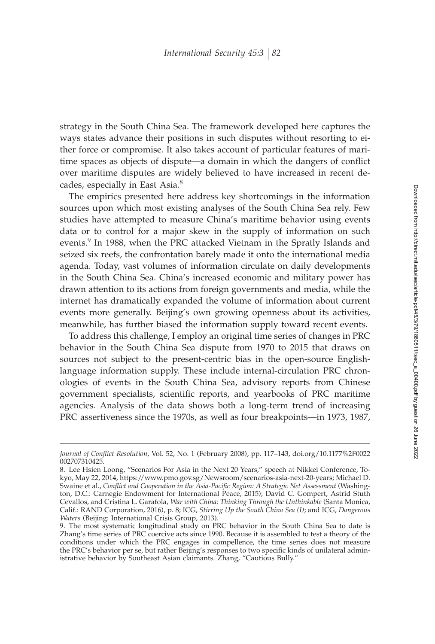strategy in the South China Sea. The framework developed here captures the ways states advance their positions in such disputes without resorting to either force or compromise. It also takes account of particular features of maritime spaces as objects of dispute—a domain in which the dangers of conflict over maritime disputes are widely believed to have increased in recent decades, especially in East Asia.<sup>8</sup>

The empirics presented here address key shortcomings in the information sources upon which most existing analyses of the South China Sea rely. Few studies have attempted to measure China's maritime behavior using events data or to control for a major skew in the supply of information on such events.<sup>9</sup> In 1988, when the PRC attacked Vietnam in the Spratly Islands and seized six reefs, the confrontation barely made it onto the international media agenda. Today, vast volumes of information circulate on daily developments in the South China Sea. China's increased economic and military power has drawn attention to its actions from foreign governments and media, while the internet has dramatically expanded the volume of information about current events more generally. Beijing's own growing openness about its activities, meanwhile, has further biased the information supply toward recent events.

To address this challenge, I employ an original time series of changes in PRC behavior in the South China Sea dispute from 1970 to 2015 that draws on sources not subject to the present-centric bias in the open-source Englishlanguage information supply. These include internal-circulation PRC chronologies of events in the South China Sea, advisory reports from Chinese government specialists, scientific reports, and yearbooks of PRC maritime agencies. Analysis of the data shows both a long-term trend of increasing PRC assertiveness since the 1970s, as well as four breakpoints—in 1973, 1987,

Journal of Conflict Resolution, Vol. 52, No. 1 (February 2008), pp. 117-143, doi.org/10.1177%2F0022 002707310425.

<sup>8.</sup> Lee Hsien Loong, "Scenarios For Asia in the Next 20 Years," speech at Nikkei Conference, Tokyo, May 22, 2014, https://www.pmo.gov.sg/Newsroom/scenarios-asia-next-20-years; Michael D. Swaine et al., Conflict and Cooperation in the Asia-Pacific Region: A Strategic Net Assessment (Washington, D.C.: Carnegie Endowment for International Peace, 2015); David C. Gompert, Astrid Stuth Cevallos, and Cristina L. Garafola, *War with China: Thinking Through the Unthinkable* (Santa Monica, Calif.: RAND Corporation, 2016), p. 8; ICG, *Stirring Up the South China Sea (I)*; and ICG, *Dangerous Waters* (Beijing: International Crisis Group, 2013).

<sup>9.</sup> The most systematic longitudinal study on PRC behavior in the South China Sea to date is Zhang's time series of PRC coercive acts since 1990. Because it is assembled to test a theory of the conditions under which the PRC engages in compellence, the time series does not measure the PRC's behavior per se, but rather Beijing's responses to two specific kinds of unilateral administrative behavior by Southeast Asian claimants. Zhang, "Cautious Bully."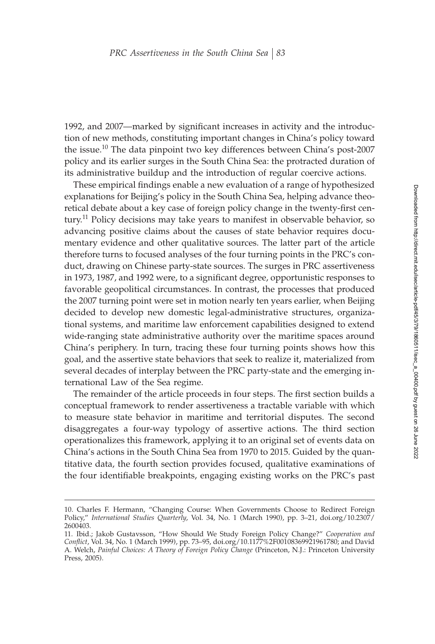1992, and 2007—marked by significant increases in activity and the introduction of new methods, constituting important changes in China's policy toward the issue.<sup>10</sup> The data pinpoint two key differences between China's post-2007 policy and its earlier surges in the South China Sea: the protracted duration of its administrative buildup and the introduction of regular coercive actions.

These empirical findings enable a new evaluation of a range of hypothesized explanations for Beijing's policy in the South China Sea, helping advance theoretical debate about a key case of foreign policy change in the twenty-first century.<sup>11</sup> Policy decisions may take years to manifest in observable behavior, so advancing positive claims about the causes of state behavior requires documentary evidence and other qualitative sources. The latter part of the article therefore turns to focused analyses of the four turning points in the PRC's conduct, drawing on Chinese party-state sources. The surges in PRC assertiveness in 1973, 1987, and 1992 were, to a significant degree, opportunistic responses to favorable geopolitical circumstances. In contrast, the processes that produced the 2007 turning point were set in motion nearly ten years earlier, when Beijing decided to develop new domestic legal-administrative structures, organizational systems, and maritime law enforcement capabilities designed to extend wide-ranging state administrative authority over the maritime spaces around China's periphery. In turn, tracing these four turning points shows how this goal, and the assertive state behaviors that seek to realize it, materialized from several decades of interplay between the PRC party-state and the emerging international Law of the Sea regime.

The remainder of the article proceeds in four steps. The first section builds a conceptual framework to render assertiveness a tractable variable with which to measure state behavior in maritime and territorial disputes. The second disaggregates a four-way typology of assertive actions. The third section operationalizes this framework, applying it to an original set of events data on China's actions in the South China Sea from 1970 to 2015. Guided by the quantitative data, the fourth section provides focused, qualitative examinations of the four identifiable breakpoints, engaging existing works on the PRC's past

<sup>10.</sup> Charles F. Hermann, "Changing Course: When Governments Choose to Redirect Foreign Policy," *International Studies Quarterly*, Vol. 34, No. 1 (March 1990), pp. 3–21, doi.org/10.2307/ 2600403.

<sup>11.</sup> Ibid.; Jakob Gustavsson, "How Should We Study Foreign Policy Change?" *Cooperation and* Conflict, Vol. 34, No. 1 (March 1999), pp. 73-95, doi.org/10.1177%2F00108369921961780; and David A. Welch, *Painful Choices: A Theory of Foreign Policy Change* (Princeton, N.J.: Princeton University Press, 2005).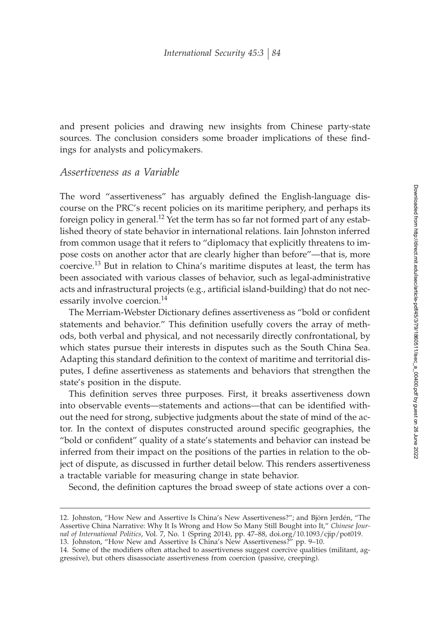and present policies and drawing new insights from Chinese party-state sources. The conclusion considers some broader implications of these findings for analysts and policymakers.

## *Assertiveness as a Variable*

The word "assertiveness" has arguably defined the English-language discourse on the PRC's recent policies on its maritime periphery, and perhaps its foreign policy in general.<sup>12</sup> Yet the term has so far not formed part of any established theory of state behavior in international relations. Iain Johnston inferred from common usage that it refers to "diplomacy that explicitly threatens to impose costs on another actor that are clearly higher than before"—that is, more coercive.<sup>13</sup> But in relation to China's maritime disputes at least, the term has been associated with various classes of behavior, such as legal-administrative acts and infrastructural projects (e.g., artificial island-building) that do not necessarily involve coercion.<sup>14</sup>

The Merriam-Webster Dictionary defines assertiveness as "bold or confident statements and behavior." This definition usefully covers the array of methods, both verbal and physical, and not necessarily directly confrontational, by which states pursue their interests in disputes such as the South China Sea. Adapting this standard definition to the context of maritime and territorial disputes, I define assertiveness as statements and behaviors that strengthen the state's position in the dispute.

This definition serves three purposes. First, it breaks assertiveness down into observable events—statements and actions—that can be identified without the need for strong, subjective judgments about the state of mind of the actor. In the context of disputes constructed around specific geographies, the "bold or confident" quality of a state's statements and behavior can instead be inferred from their impact on the positions of the parties in relation to the object of dispute, as discussed in further detail below. This renders assertiveness a tractable variable for measuring change in state behavior.

Second, the definition captures the broad sweep of state actions over a con-

<sup>12.</sup> Johnston, "How New and Assertive Is China's New Assertiveness?"; and Björn Jerdén, "The Assertive China Narrative: Why It Is Wrong and How So Many Still Bought into It," *Chinese Journal of International Politics*, Vol. 7, No. 1 (Spring 2014), pp. 47–88, doi.org/10.1093/cjip/pot019.

<sup>13.</sup> Johnston, "How New and Assertive Is China's New Assertiveness?" pp. 9–10.

<sup>14.</sup> Some of the modifiers often attached to assertiveness suggest coercive qualities (militant, aggressive), but others disassociate assertiveness from coercion (passive, creeping).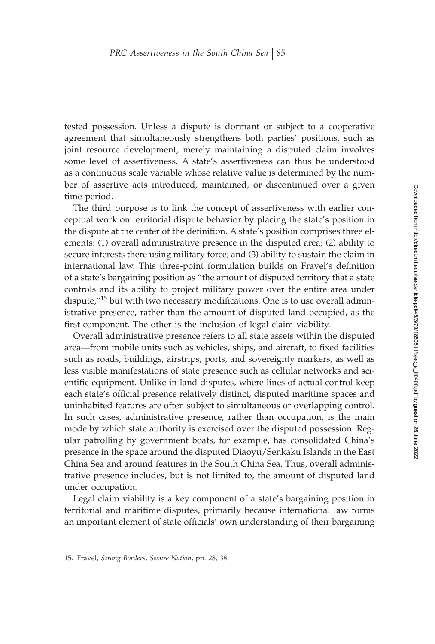tested possession. Unless a dispute is dormant or subject to a cooperative agreement that simultaneously strengthens both parties' positions, such as joint resource development, merely maintaining a disputed claim involves some level of assertiveness. A state's assertiveness can thus be understood as a continuous scale variable whose relative value is determined by the number of assertive acts introduced, maintained, or discontinued over a given time period.

The third purpose is to link the concept of assertiveness with earlier conceptual work on territorial dispute behavior by placing the state's position in the dispute at the center of the definition. A state's position comprises three elements: (1) overall administrative presence in the disputed area; (2) ability to secure interests there using military force; and (3) ability to sustain the claim in international law. This three-point formulation builds on Fravel's definition of a state's bargaining position as "the amount of disputed territory that a state controls and its ability to project military power over the entire area under dispute, $^{\prime\prime}$ <sup>15</sup> but with two necessary modifications. One is to use overall administrative presence, rather than the amount of disputed land occupied, as the first component. The other is the inclusion of legal claim viability.

Overall administrative presence refers to all state assets within the disputed area—from mobile units such as vehicles, ships, and aircraft, to fixed facilities such as roads, buildings, airstrips, ports, and sovereignty markers, as well as less visible manifestations of state presence such as cellular networks and scientific equipment. Unlike in land disputes, where lines of actual control keep each state's official presence relatively distinct, disputed maritime spaces and uninhabited features are often subject to simultaneous or overlapping control. In such cases, administrative presence, rather than occupation, is the main mode by which state authority is exercised over the disputed possession. Regular patrolling by government boats, for example, has consolidated China's presence in the space around the disputed Diaoyu/Senkaku Islands in the East China Sea and around features in the South China Sea. Thus, overall administrative presence includes, but is not limited to, the amount of disputed land under occupation.

Legal claim viability is a key component of a state's bargaining position in territorial and maritime disputes, primarily because international law forms an important element of state officials' own understanding of their bargaining

<sup>15.</sup> Fravel, *Strong Borders, Secure Nation*, pp. 28, 38.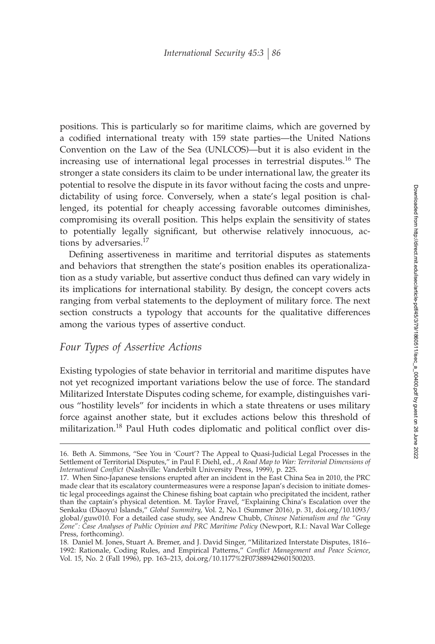positions. This is particularly so for maritime claims, which are governed by a codified international treaty with 159 state parties—the United Nations Convention on the Law of the Sea (UNLCOS)—but it is also evident in the increasing use of international legal processes in terrestrial disputes.<sup>16</sup> The stronger a state considers its claim to be under international law, the greater its potential to resolve the dispute in its favor without facing the costs and unpredictability of using force. Conversely, when a state's legal position is challenged, its potential for cheaply accessing favorable outcomes diminishes, compromising its overall position. This helps explain the sensitivity of states to potentially legally significant, but otherwise relatively innocuous, actions by adversaries.<sup>17</sup>

Defining assertiveness in maritime and territorial disputes as statements and behaviors that strengthen the state's position enables its operationalization as a study variable, but assertive conduct thus defined can vary widely in its implications for international stability. By design, the concept covers acts ranging from verbal statements to the deployment of military force. The next section constructs a typology that accounts for the qualitative differences among the various types of assertive conduct.

## *Four Types of Assertive Actions*

Existing typologies of state behavior in territorial and maritime disputes have not yet recognized important variations below the use of force. The standard Militarized Interstate Disputes coding scheme, for example, distinguishes various "hostility levels" for incidents in which a state threatens or uses military force against another state, but it excludes actions below this threshold of militarization.<sup>18</sup> Paul Huth codes diplomatic and political conflict over dis-

<sup>16.</sup> Beth A. Simmons, "See You in 'Court'? The Appeal to Quasi-Judicial Legal Processes in the Settlement of Territorial Disputes," in Paul F. Diehl, ed., *A Road Map to War: Territorial Dimensions of International Conflict* (Nashville: Vanderbilt University Press, 1999), p. 225.

<sup>17.</sup> When Sino-Japanese tensions erupted after an incident in the East China Sea in 2010, the PRC made clear that its escalatory countermeasures were a response Japan's decision to initiate domestic legal proceedings against the Chinese fishing boat captain who precipitated the incident, rather than the captain's physical detention. M. Taylor Fravel, "Explaining China's Escalation over the Senkaku (Diaoyu) Islands," *Global Summitry*, Vol. 2, No.1 (Summer 2016), p. 31, doi.org/10.1093/ global/guw010. For a detailed case study, see Andrew Chubb, *Chinese Nationalism and the "Gray Zone": Case Analyses of Public Opinion and PRC Maritime Policy* (Newport, R.I.: Naval War College Press, forthcoming).

<sup>18.</sup> Daniel M. Jones, Stuart A. Bremer, and J. David Singer, "Militarized Interstate Disputes, 1816– 1992: Rationale, Coding Rules, and Empirical Patterns," Conflict Management and Peace Science, Vol. 15, No. 2 (Fall 1996), pp. 163–213, doi.org/10.1177%2F073889429601500203.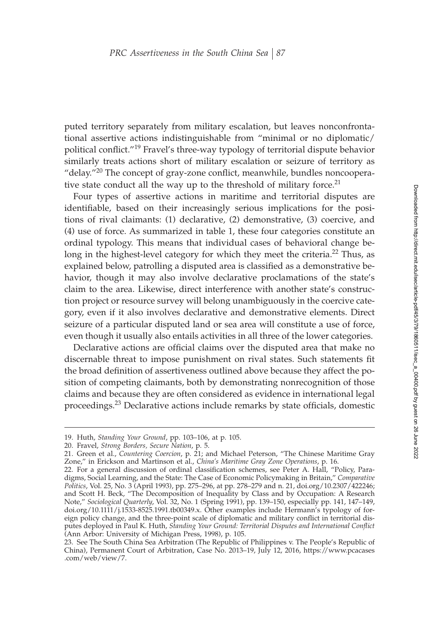puted territory separately from military escalation, but leaves nonconfrontational assertive actions indistinguishable from "minimal or no diplomatic/ political conflict."<sup>19</sup> Fravel's three-way typology of territorial dispute behavior similarly treats actions short of military escalation or seizure of territory as "delay." $^{20}$  The concept of gray-zone conflict, meanwhile, bundles noncooperative state conduct all the way up to the threshold of military force. $21$ 

Four types of assertive actions in maritime and territorial disputes are identifiable, based on their increasingly serious implications for the positions of rival claimants: (1) declarative, (2) demonstrative, (3) coercive, and (4) use of force. As summarized in table 1, these four categories constitute an ordinal typology. This means that individual cases of behavioral change belong in the highest-level category for which they meet the criteria.<sup>22</sup> Thus, as explained below, patrolling a disputed area is classified as a demonstrative behavior, though it may also involve declarative proclamations of the state's claim to the area. Likewise, direct interference with another state's construction project or resource survey will belong unambiguously in the coercive category, even if it also involves declarative and demonstrative elements. Direct seizure of a particular disputed land or sea area will constitute a use of force, even though it usually also entails activities in all three of the lower categories.

Declarative actions are official claims over the disputed area that make no discernable threat to impose punishment on rival states. Such statements fit the broad definition of assertiveness outlined above because they affect the position of competing claimants, both by demonstrating nonrecognition of those claims and because they are often considered as evidence in international legal proceedings. $^{23}$  Declarative actions include remarks by state officials, domestic

<sup>19.</sup> Huth, *Standing Your Ground*, pp. 103–106, at p. 105.

<sup>20.</sup> Fravel, *Strong Borders, Secure Nation*, p. 5.

<sup>21.</sup> Green et al., *Countering Coercion*, p. 21; and Michael Peterson, "The Chinese Maritime Gray Zone," in Erickson and Martinson et al., *China's Maritime Gray Zone Operations*, p. 16.

<sup>22.</sup> For a general discussion of ordinal classification schemes, see Peter A. Hall, "Policy, Paradigms, Social Learning, and the State: The Case of Economic Policymaking in Britain," *Comparative Politics*, Vol. 25, No. 3 (April 1993), pp. 275–296, at pp. 278–279 and n. 21, doi.org/10.2307/422246; and Scott H. Beck, "The Decomposition of Inequality by Class and by Occupation: A Research Note," *Sociological Quarterly*, Vol. 32, No. 1 (Spring 1991), pp. 139–150, especially pp. 141, 147–149, doi.org/10.1111/j.1533-8525.1991.tb00349.x. Other examples include Hermann's typology of foreign policy change, and the three-point scale of diplomatic and military conflict in territorial disputes deployed in Paul K. Huth, *Standing Your Ground: Territorial Disputes and International Conflict* (Ann Arbor: University of Michigan Press, 1998), p. 105.

<sup>23.</sup> See The South China Sea Arbitration (The Republic of Philippines v. The People's Republic of China), Permanent Court of Arbitration, Case No. 2013-19, July 12, 2016, https://www.pcacases .com/web/view/7.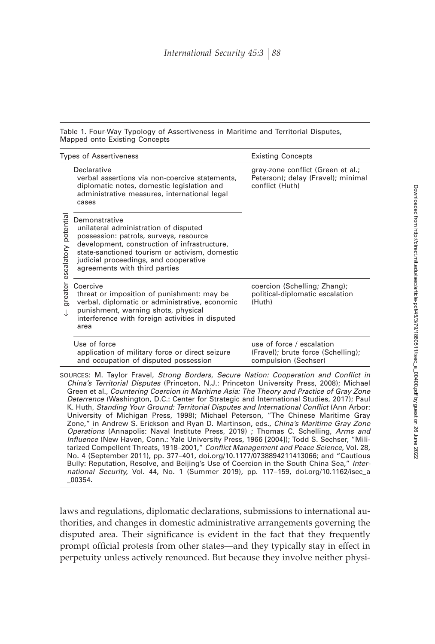Table 1. Four-Way Typology of Assertiveness in Maritime and Territorial Disputes, Mapped onto Existing Concepts

| <b>Types of Assertiveness</b>  |                                                                                                                                                                                                                                                                                                                                                                             | <b>Existing Concepts</b>                                                                   |
|--------------------------------|-----------------------------------------------------------------------------------------------------------------------------------------------------------------------------------------------------------------------------------------------------------------------------------------------------------------------------------------------------------------------------|--------------------------------------------------------------------------------------------|
| escalatory potentia<br>greater | Declarative<br>verbal assertions via non-coercive statements,<br>diplomatic notes, domestic legislation and<br>administrative measures, international legal<br>cases                                                                                                                                                                                                        | gray-zone conflict (Green et al.;<br>Peterson); delay (Fravel); minimal<br>conflict (Huth) |
|                                | Demonstrative<br>unilateral administration of disputed<br>possession: patrols, surveys, resource<br>development, construction of infrastructure,<br>state-sanctioned tourism or activism, domestic<br>judicial proceedings, and cooperative<br>agreements with third parties                                                                                                |                                                                                            |
|                                | Coercive<br>threat or imposition of punishment: may be<br>verbal, diplomatic or administrative, economic<br>punishment, warning shots, physical<br>interference with foreign activities in disputed<br>area                                                                                                                                                                 | coercion (Schelling; Zhang);<br>political-diplomatic escalation<br>(Huth)                  |
|                                | Use of force<br>application of military force or direct seizure<br>and occupation of disputed possession                                                                                                                                                                                                                                                                    | use of force / escalation<br>(Fravel); brute force (Schelling);<br>compulsion (Sechser)    |
|                                | SOURCES: M. Taylor Fravel, Strong Borders, Secure Nation: Cooperation and Conflict in<br>China's Territorial Disputes (Princeton, N.J.: Princeton University Press, 2008); Michael<br>Green et al., Countering Coercion in Maritime Asia: The Theory and Practice of Gray Zone<br>Deterrence (Washington, D.C.: Center for Strategic and International Studies, 2017); Paul |                                                                                            |

*Deterrence* (Washington, D.C.: Center for Strategic and International Studies, 2017); Paul K. Huth, *Standing Your Ground: Territorial Disputes and International Conflict* (Ann Arbor: University of Michigan Press, 1998); Michael Peterson, "The Chinese Maritime Gray Zone," in Andrew S. Erickson and Ryan D. Martinson, eds., *China's Maritime Gray Zone Operations* (Annapolis: Naval Institute Press, 2019) ; Thomas C. Schelling, *Arms and Influence* (New Haven, Conn.: Yale University Press, 1966 [2004]); Todd S. Sechser, "Militarized Compellent Threats, 1918–2001," Conflict Management and Peace Science, Vol. 28, No. 4 (September 2011), pp. 377–401, doi.org/10.1177/0738894211413066; and "Cautious Bully: Reputation, Resolve, and Beijing's Use of Coercion in the South China Sea," *International Security*, Vol. 44, No. 1 (Summer 2019), pp. 117–159, doi.org/10.1162/isec\_a \_00354.

laws and regulations, diplomatic declarations, submissions to international authorities, and changes in domestic administrative arrangements governing the disputed area. Their significance is evident in the fact that they frequently prompt official protests from other states—and they typically stay in effect in perpetuity unless actively renounced. But because they involve neither physi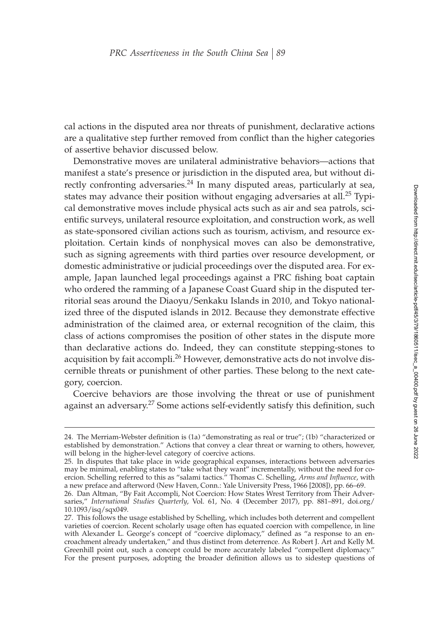cal actions in the disputed area nor threats of punishment, declarative actions are a qualitative step further removed from conflict than the higher categories of assertive behavior discussed below.

Demonstrative moves are unilateral administrative behaviors—actions that manifest a state's presence or jurisdiction in the disputed area, but without directly confronting adversaries.<sup>24</sup> In many disputed areas, particularly at sea, states may advance their position without engaging adversaries at all.<sup>25</sup> Typical demonstrative moves include physical acts such as air and sea patrols, scientific surveys, unilateral resource exploitation, and construction work, as well as state-sponsored civilian actions such as tourism, activism, and resource exploitation. Certain kinds of nonphysical moves can also be demonstrative, such as signing agreements with third parties over resource development, or domestic administrative or judicial proceedings over the disputed area. For example, Japan launched legal proceedings against a PRC fishing boat captain who ordered the ramming of a Japanese Coast Guard ship in the disputed territorial seas around the Diaoyu/Senkaku Islands in 2010, and Tokyo nationalized three of the disputed islands in 2012. Because they demonstrate effective administration of the claimed area, or external recognition of the claim, this class of actions compromises the position of other states in the dispute more than declarative actions do. Indeed, they can constitute stepping-stones to acquisition by fait accompli.<sup>26</sup> However, demonstrative acts do not involve discernible threats or punishment of other parties. These belong to the next category, coercion.

Coercive behaviors are those involving the threat or use of punishment against an adversary.<sup>27</sup> Some actions self-evidently satisfy this definition, such

<sup>24.</sup> The Merriam-Webster definition is (1a) "demonstrating as real or true"; (1b) "characterized or established by demonstration." Actions that convey a clear threat or warning to others, however, will belong in the higher-level category of coercive actions.

<sup>25.</sup> In disputes that take place in wide geographical expanses, interactions between adversaries may be minimal, enabling states to "take what they want" incrementally, without the need for coercion. Schelling referred to this as "salami tactics." Thomas C. Schelling, *Arms and Influence*, with a new preface and afterword (New Haven, Conn.: Yale University Press, 1966 [2008]), pp. 66–69. 26. Dan Altman, "By Fait Accompli, Not Coercion: How States Wrest Territory from Their Adver-

saries," *International Studies Quarterly*, Vol. 61, No. 4 (December 2017), pp. 881–891, doi.org/ 10.1093/isq/sqx049.

<sup>27.</sup> This follows the usage established by Schelling, which includes both deterrent and compellent varieties of coercion. Recent scholarly usage often has equated coercion with compellence, in line with Alexander L. George's concept of "coercive diplomacy," defined as "a response to an encroachment already undertaken," and thus distinct from deterrence. As Robert J. Art and Kelly M. Greenhill point out, such a concept could be more accurately labeled "compellent diplomacy." For the present purposes, adopting the broader definition allows us to sidestep questions of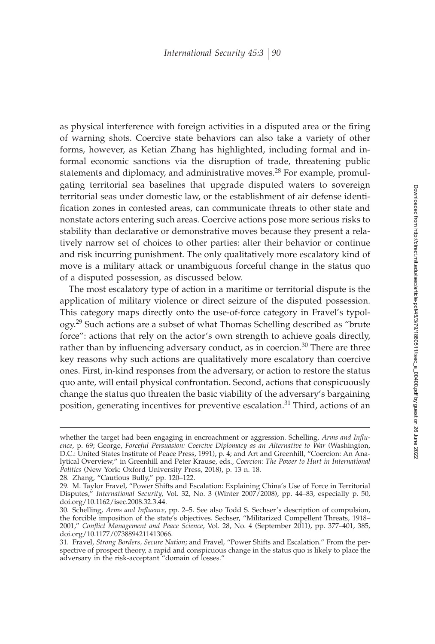as physical interference with foreign activities in a disputed area or the firing of warning shots. Coercive state behaviors can also take a variety of other forms, however, as Ketian Zhang has highlighted, including formal and informal economic sanctions via the disruption of trade, threatening public statements and diplomacy, and administrative moves.<sup>28</sup> For example, promulgating territorial sea baselines that upgrade disputed waters to sovereign territorial seas under domestic law, or the establishment of air defense identification zones in contested areas, can communicate threats to other state and nonstate actors entering such areas. Coercive actions pose more serious risks to stability than declarative or demonstrative moves because they present a relatively narrow set of choices to other parties: alter their behavior or continue and risk incurring punishment. The only qualitatively more escalatory kind of move is a military attack or unambiguous forceful change in the status quo of a disputed possession, as discussed below.

The most escalatory type of action in a maritime or territorial dispute is the application of military violence or direct seizure of the disputed possession. This category maps directly onto the use-of-force category in Fravel's typology.<sup>29</sup> Such actions are a subset of what Thomas Schelling described as "brute force": actions that rely on the actor's own strength to achieve goals directly, rather than by influencing adversary conduct, as in coercion.<sup>30</sup> There are three key reasons why such actions are qualitatively more escalatory than coercive ones. First, in-kind responses from the adversary, or action to restore the status quo ante, will entail physical confrontation. Second, actions that conspicuously change the status quo threaten the basic viability of the adversary's bargaining position, generating incentives for preventive escalation.<sup>31</sup> Third, actions of an

whether the target had been engaging in encroachment or aggression. Schelling, *Arms and Influence*, p. 69; George, *Forceful Persuasion: Coercive Diplomacy as an Alternative to War* (Washington, D.C.: United States Institute of Peace Press, 1991), p. 4; and Art and Greenhill, "Coercion: An Analytical Overview," in Greenhill and Peter Krause, eds., *Coercion: The Power to Hurt in International Politics* (New York: Oxford University Press, 2018), p. 13 n. 18.

<sup>28.</sup> Zhang, "Cautious Bully," pp. 120–122.

<sup>29.</sup> M. Taylor Fravel, "Power Shifts and Escalation: Explaining China's Use of Force in Territorial Disputes," *International Security*, Vol. 32, No. 3 (Winter 2007/2008), pp. 44–83, especially p. 50, doi.org/10.1162/isec.2008.32.3.44.

<sup>30.</sup> Schelling, *Arms and Influence*, pp. 2–5. See also Todd S. Sechser's description of compulsion, the forcible imposition of the state's objectives. Sechser, "Militarized Compellent Threats, 1918– 2001," Conflict Management and Peace Science, Vol. 28, No. 4 (September 2011), pp. 377-401, 385, doi.org/10.1177/0738894211413066.

<sup>31.</sup> Fravel, *Strong Borders, Secure Nation*; and Fravel, "Power Shifts and Escalation." From the perspective of prospect theory, a rapid and conspicuous change in the status quo is likely to place the adversary in the risk-acceptant "domain of losses."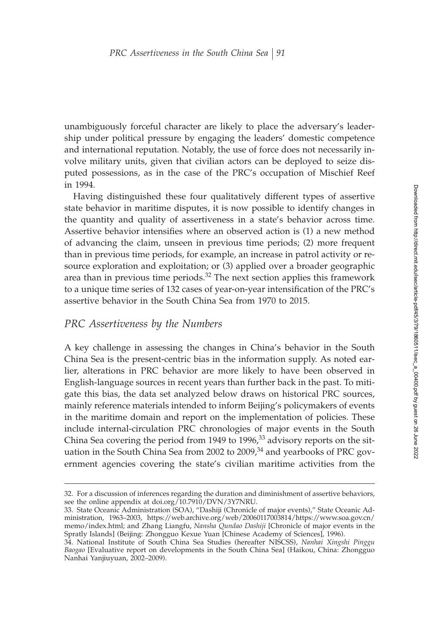unambiguously forceful character are likely to place the adversary's leadership under political pressure by engaging the leaders' domestic competence and international reputation. Notably, the use of force does not necessarily involve military units, given that civilian actors can be deployed to seize disputed possessions, as in the case of the PRC's occupation of Mischief Reef in 1994.

Having distinguished these four qualitatively different types of assertive state behavior in maritime disputes, it is now possible to identify changes in the quantity and quality of assertiveness in a state's behavior across time. Assertive behavior intensifies where an observed action is (1) a new method of advancing the claim, unseen in previous time periods; (2) more frequent than in previous time periods, for example, an increase in patrol activity or resource exploration and exploitation; or (3) applied over a broader geographic area than in previous time periods. $32$  The next section applies this framework to a unique time series of 132 cases of year-on-year intensification of the PRC's assertive behavior in the South China Sea from 1970 to 2015.

# *PRC Assertiveness by the Numbers*

A key challenge in assessing the changes in China's behavior in the South China Sea is the present-centric bias in the information supply. As noted earlier, alterations in PRC behavior are more likely to have been observed in English-language sources in recent years than further back in the past. To mitigate this bias, the data set analyzed below draws on historical PRC sources, mainly reference materials intended to inform Beijing's policymakers of events in the maritime domain and report on the implementation of policies. These include internal-circulation PRC chronologies of major events in the South China Sea covering the period from 1949 to 1996, $33$  advisory reports on the situation in the South China Sea from 2002 to  $2009<sub>1</sub><sup>34</sup>$  and yearbooks of PRC government agencies covering the state's civilian maritime activities from the

<sup>32.</sup> For a discussion of inferences regarding the duration and diminishment of assertive behaviors, see the online appendix at doi.org/10.7910/DVN/3Y7NRU.

<sup>33.</sup> State Oceanic Administration (SOA), "Dashiji (Chronicle of major events)," State Oceanic Administration, 1963–2003, https://web.archive.org/web/20060117003814/https://www.soa.gov.cn/ memo/index.html; and Zhang Liangfu, *Nansha Qundao Dashiji* [Chronicle of major events in the Spratly Islands] (Beijing: Zhongguo Kexue Yuan [Chinese Academy of Sciences], 1996).

<sup>34.</sup> National Institute of South China Sea Studies (hereafter NISCSS), *Nanhai Xingshi Pinggu Baogao* [Evaluative report on developments in the South China Sea] (Haikou, China: Zhongguo Nanhai Yanjiuyuan, 2002–2009).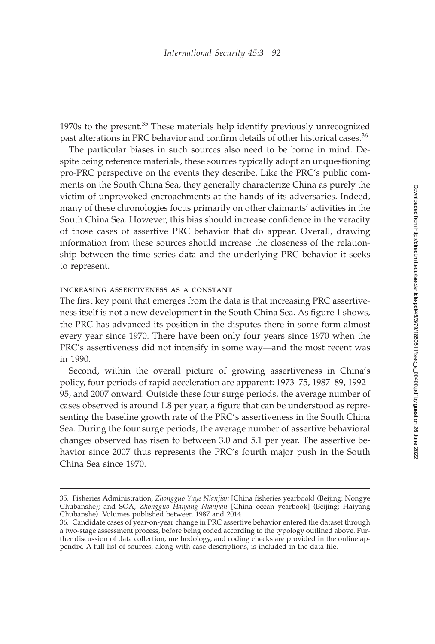1970s to the present.<sup>35</sup> These materials help identify previously unrecognized past alterations in PRC behavior and confirm details of other historical cases.<sup>36</sup>

The particular biases in such sources also need to be borne in mind. Despite being reference materials, these sources typically adopt an unquestioning pro-PRC perspective on the events they describe. Like the PRC's public comments on the South China Sea, they generally characterize China as purely the victim of unprovoked encroachments at the hands of its adversaries. Indeed, many of these chronologies focus primarily on other claimants' activities in the South China Sea. However, this bias should increase confidence in the veracity of those cases of assertive PRC behavior that do appear. Overall, drawing information from these sources should increase the closeness of the relationship between the time series data and the underlying PRC behavior it seeks to represent.

#### increasing assertiveness as a constant

The first key point that emerges from the data is that increasing PRC assertiveness itself is not a new development in the South China Sea. As figure 1 shows, the PRC has advanced its position in the disputes there in some form almost every year since 1970. There have been only four years since 1970 when the PRC's assertiveness did not intensify in some way—and the most recent was in 1990.

Second, within the overall picture of growing assertiveness in China's policy, four periods of rapid acceleration are apparent: 1973–75, 1987–89, 1992– 95, and 2007 onward. Outside these four surge periods, the average number of cases observed is around 1.8 per year, a figure that can be understood as representing the baseline growth rate of the PRC's assertiveness in the South China Sea. During the four surge periods, the average number of assertive behavioral changes observed has risen to between 3.0 and 5.1 per year. The assertive behavior since 2007 thus represents the PRC's fourth major push in the South China Sea since 1970.

<sup>35.</sup> Fisheries Administration, *Zhongguo Yuye Nianjian* [China fisheries yearbook] (Beijing: Nongye Chubanshe); and SOA, *Zhongguo Haiyang Nianjian* [China ocean yearbook] (Beijing: Haiyang Chubanshe). Volumes published between 1987 and 2014.

<sup>36.</sup> Candidate cases of year-on-year change in PRC assertive behavior entered the dataset through a two-stage assessment process, before being coded according to the typology outlined above. Further discussion of data collection, methodology, and coding checks are provided in the online appendix. A full list of sources, along with case descriptions, is included in the data file.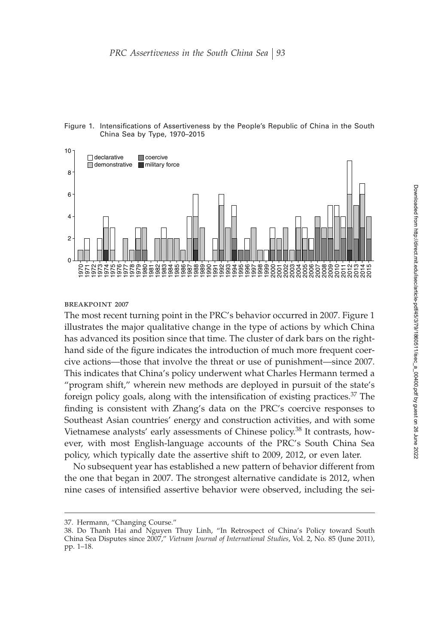

Figure 1. Intensifications of Assertiveness by the People's Republic of China in the South China Sea by Type, 1970–2015

#### breakpoint 2007

The most recent turning point in the PRC's behavior occurred in 2007. Figure 1 illustrates the major qualitative change in the type of actions by which China has advanced its position since that time. The cluster of dark bars on the righthand side of the figure indicates the introduction of much more frequent coercive actions—those that involve the threat or use of punishment—since 2007. This indicates that China's policy underwent what Charles Hermann termed a "program shift," wherein new methods are deployed in pursuit of the state's foreign policy goals, along with the intensification of existing practices. $37$  The finding is consistent with Zhang's data on the PRC's coercive responses to Southeast Asian countries' energy and construction activities, and with some Vietnamese analysts' early assessments of Chinese policy.<sup>38</sup> It contrasts, however, with most English-language accounts of the PRC's South China Sea policy, which typically date the assertive shift to 2009, 2012, or even later.

No subsequent year has established a new pattern of behavior different from the one that began in 2007. The strongest alternative candidate is 2012, when nine cases of intensified assertive behavior were observed, including the sei-

<sup>37.</sup> Hermann, "Changing Course."

<sup>38.</sup> Do Thanh Hai and Nguyen Thuy Linh, "In Retrospect of China's Policy toward South China Sea Disputes since 2007," *Vietnam Journal of International Studies*, Vol. 2, No. 85 (June 2011), pp. 1–18.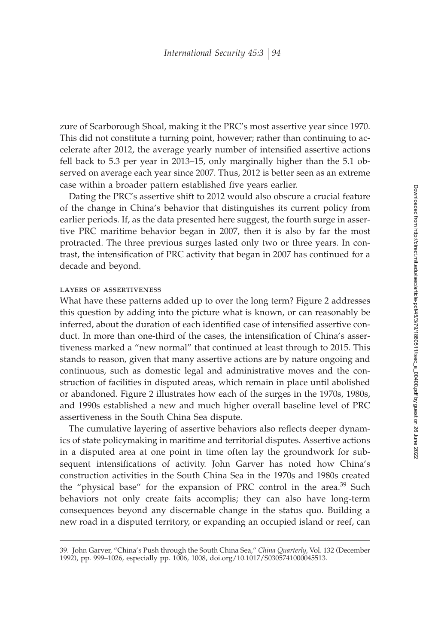zure of Scarborough Shoal, making it the PRC's most assertive year since 1970. This did not constitute a turning point, however; rather than continuing to accelerate after 2012, the average yearly number of intensified assertive actions fell back to 5.3 per year in 2013–15, only marginally higher than the 5.1 observed on average each year since 2007. Thus, 2012 is better seen as an extreme case within a broader pattern established five years earlier.

Dating the PRC's assertive shift to 2012 would also obscure a crucial feature of the change in China's behavior that distinguishes its current policy from earlier periods. If, as the data presented here suggest, the fourth surge in assertive PRC maritime behavior began in 2007, then it is also by far the most protracted. The three previous surges lasted only two or three years. In contrast, the intensification of PRC activity that began in 2007 has continued for a decade and beyond.

#### layers of assertiveness

What have these patterns added up to over the long term? Figure 2 addresses this question by adding into the picture what is known, or can reasonably be inferred, about the duration of each identified case of intensified assertive conduct. In more than one-third of the cases, the intensification of China's assertiveness marked a "new normal" that continued at least through to 2015. This stands to reason, given that many assertive actions are by nature ongoing and continuous, such as domestic legal and administrative moves and the construction of facilities in disputed areas, which remain in place until abolished or abandoned. Figure 2 illustrates how each of the surges in the 1970s, 1980s, and 1990s established a new and much higher overall baseline level of PRC assertiveness in the South China Sea dispute.

The cumulative layering of assertive behaviors also reflects deeper dynamics of state policymaking in maritime and territorial disputes. Assertive actions in a disputed area at one point in time often lay the groundwork for subsequent intensifications of activity. John Garver has noted how China's construction activities in the South China Sea in the 1970s and 1980s created the "physical base" for the expansion of PRC control in the area.<sup>39</sup> Such behaviors not only create faits accomplis; they can also have long-term consequences beyond any discernable change in the status quo. Building a new road in a disputed territory, or expanding an occupied island or reef, can

<sup>39.</sup> John Garver, "China's Push through the South China Sea," *China Quarterly*, Vol. 132 (December 1992), pp. 999–1026, especially pp. 1006, 1008, doi.org/10.1017/S0305741000045513.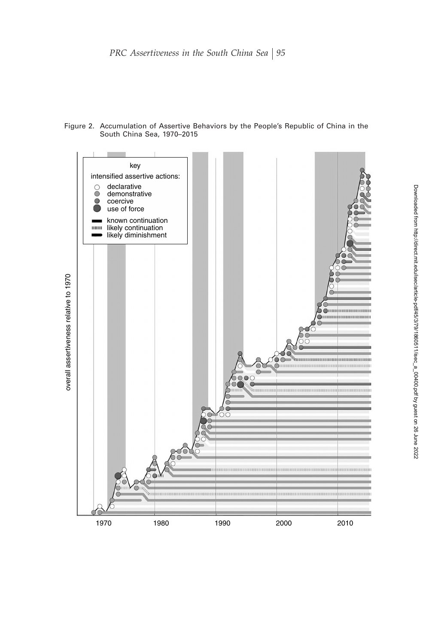Figure 2. Accumulation of Assertive Behaviors by the People's Republic of China in the South China Sea, 1970–2015

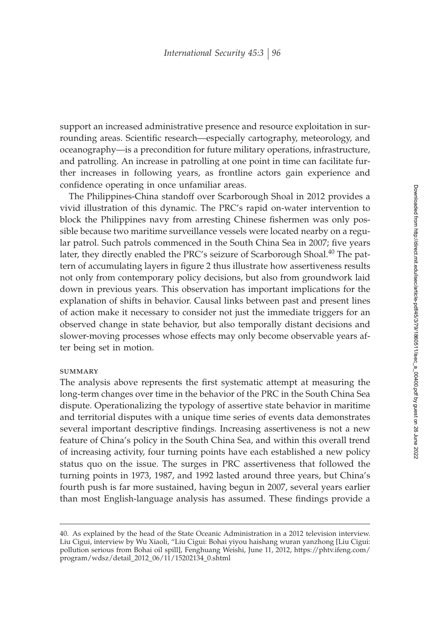support an increased administrative presence and resource exploitation in surrounding areas. Scientific research—especially cartography, meteorology, and oceanography—is a precondition for future military operations, infrastructure, and patrolling. An increase in patrolling at one point in time can facilitate further increases in following years, as frontline actors gain experience and confidence operating in once unfamiliar areas.

The Philippines-China standoff over Scarborough Shoal in 2012 provides a vivid illustration of this dynamic. The PRC's rapid on-water intervention to block the Philippines navy from arresting Chinese fishermen was only possible because two maritime surveillance vessels were located nearby on a regular patrol. Such patrols commenced in the South China Sea in 2007; five years later, they directly enabled the PRC's seizure of Scarborough Shoal.<sup>40</sup> The pattern of accumulating layers in figure 2 thus illustrate how assertiveness results not only from contemporary policy decisions, but also from groundwork laid down in previous years. This observation has important implications for the explanation of shifts in behavior. Causal links between past and present lines of action make it necessary to consider not just the immediate triggers for an observed change in state behavior, but also temporally distant decisions and slower-moving processes whose effects may only become observable years after being set in motion.

#### **SUMMARY**

The analysis above represents the first systematic attempt at measuring the long-term changes over time in the behavior of the PRC in the South China Sea dispute. Operationalizing the typology of assertive state behavior in maritime and territorial disputes with a unique time series of events data demonstrates several important descriptive findings. Increasing assertiveness is not a new feature of China's policy in the South China Sea, and within this overall trend of increasing activity, four turning points have each established a new policy status quo on the issue. The surges in PRC assertiveness that followed the turning points in 1973, 1987, and 1992 lasted around three years, but China's fourth push is far more sustained, having begun in 2007, several years earlier than most English-language analysis has assumed. These findings provide a

<sup>40.</sup> As explained by the head of the State Oceanic Administration in a 2012 television interview. Liu Cigui, interview by Wu Xiaoli, "Liu Cigui: Bohai yiyou haishang wuran yanzhong [Liu Cigui: pollution serious from Bohai oil spill], Fenghuang Weishi, June 11, 2012, https://phtv.ifeng.com/ program/wdsz/detail\_2012\_06/11/15202134\_0.shtml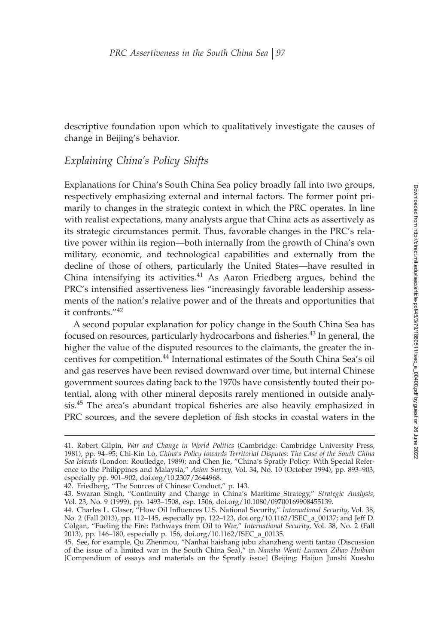descriptive foundation upon which to qualitatively investigate the causes of change in Beijing's behavior.

# *Explaining China's Policy Shifts*

Explanations for China's South China Sea policy broadly fall into two groups, respectively emphasizing external and internal factors. The former point primarily to changes in the strategic context in which the PRC operates. In line with realist expectations, many analysts argue that China acts as assertively as its strategic circumstances permit. Thus, favorable changes in the PRC's relative power within its region—both internally from the growth of China's own military, economic, and technological capabilities and externally from the decline of those of others, particularly the United States—have resulted in China intensifying its activities. $41$  As Aaron Friedberg argues, behind the PRC's intensified assertiveness lies "increasingly favorable leadership assessments of the nation's relative power and of the threats and opportunities that it confronts."<sup>42</sup>

A second popular explanation for policy change in the South China Sea has focused on resources, particularly hydrocarbons and fisheries. $43$  In general, the higher the value of the disputed resources to the claimants, the greater the incentives for competition.<sup>44</sup> International estimates of the South China Sea's oil and gas reserves have been revised downward over time, but internal Chinese government sources dating back to the 1970s have consistently touted their potential, along with other mineral deposits rarely mentioned in outside analysis.<sup>45</sup> The area's abundant tropical fisheries are also heavily emphasized in PRC sources, and the severe depletion of fish stocks in coastal waters in the

<sup>41.</sup> Robert Gilpin, *War and Change in World Politics* (Cambridge: Cambridge University Press, 1981), pp. 94–95; Chi-Kin Lo, *China's Policy towards Territorial Disputes: The Case of the South China Sea Islands* (London: Routledge, 1989); and Chen Jie, "China's Spratly Policy: With Special Reference to the Philippines and Malaysia," *Asian Survey*, Vol. 34, No. 10 (October 1994), pp. 893–903, especially pp. 901–902, doi.org/10.2307/2644968.

<sup>42.</sup> Friedberg, "The Sources of Chinese Conduct," p. 143.

<sup>43.</sup> Swaran Singh, "Continuity and Change in China's Maritime Strategy," *Strategic Analysis*, Vol. 23, No. 9 (1999), pp. 1493–1508, esp. 1506, doi.org/10.1080/09700169908455139.

<sup>44.</sup> Charles L. Glaser, "How Oil Influences U.S. National Security," *International Security*, Vol. 38, No. 2 (Fall 2013), pp. 112–145, especially pp. 122–123, doi.org/10.1162/ISEC\_a\_00137; and Jeff D. Colgan, "Fueling the Fire: Pathways from Oil to War," *International Security*, Vol. 38, No. 2 (Fall 2013), pp. 146–180, especially p. 156, doi.org/10.1162/ISEC\_a\_00135.

<sup>45.</sup> See, for example, Qu Zhenmou, "Nanhai haishang jubu zhanzheng wenti tantao (Discussion of the issue of a limited war in the South China Sea)," in *Nansha Wenti Lunwen Ziliao Huibian* [Compendium of essays and materials on the Spratly issue] (Beijing: Haijun Junshi Xueshu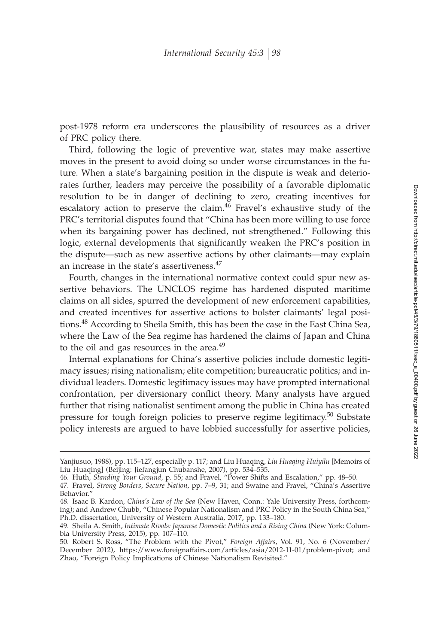post-1978 reform era underscores the plausibility of resources as a driver of PRC policy there.

Third, following the logic of preventive war, states may make assertive moves in the present to avoid doing so under worse circumstances in the future. When a state's bargaining position in the dispute is weak and deteriorates further, leaders may perceive the possibility of a favorable diplomatic resolution to be in danger of declining to zero, creating incentives for escalatory action to preserve the claim.<sup>46</sup> Fravel's exhaustive study of the PRC's territorial disputes found that "China has been more willing to use force when its bargaining power has declined, not strengthened." Following this logic, external developments that significantly weaken the PRC's position in the dispute—such as new assertive actions by other claimants—may explain an increase in the state's assertiveness.<sup>47</sup>

Fourth, changes in the international normative context could spur new assertive behaviors. The UNCLOS regime has hardened disputed maritime claims on all sides, spurred the development of new enforcement capabilities, and created incentives for assertive actions to bolster claimants' legal positions.<sup>48</sup> According to Sheila Smith, this has been the case in the East China Sea, where the Law of the Sea regime has hardened the claims of Japan and China to the oil and gas resources in the area.<sup>49</sup>

Internal explanations for China's assertive policies include domestic legitimacy issues; rising nationalism; elite competition; bureaucratic politics; and individual leaders. Domestic legitimacy issues may have prompted international confrontation, per diversionary conflict theory. Many analysts have argued further that rising nationalist sentiment among the public in China has created pressure for tough foreign policies to preserve regime legitimacy.<sup>50</sup> Substate policy interests are argued to have lobbied successfully for assertive policies,

Yanjiusuo, 1988), pp. 115–127, especially p. 117; and Liu Huaqing, *Liu Huaqing Huiyilu* [Memoirs of Liu Huaqing] (Beijing: Jiefangjun Chubanshe, 2007), pp. 534–535.

<sup>46.</sup> Huth, *Standing Your Ground*, p. 55; and Fravel, "Power Shifts and Escalation," pp. 48–50.

<sup>47.</sup> Fravel, *Strong Borders, Secure Nation*, pp. 7–9, 31; and Swaine and Fravel, "China's Assertive Behavior.'

<sup>48.</sup> Isaac B. Kardon, *China's Law of the Sea* (New Haven, Conn.: Yale University Press, forthcoming); and Andrew Chubb, "Chinese Popular Nationalism and PRC Policy in the South China Sea," Ph.D. dissertation, University of Western Australia, 2017, pp. 133–180.

<sup>49.</sup> Sheila A. Smith, *Intimate Rivals: Japanese Domestic Politics and a Rising China* (New York: Columbia University Press, 2015), pp. 107–110.

<sup>50.</sup> Robert S. Ross, "The Problem with the Pivot," *Foreign Affairs*, Vol. 91, No. 6 (November/ December 2012), https://www.foreignaffairs.com/articles/asia/2012-11-01/problem-pivot; and Zhao, "Foreign Policy Implications of Chinese Nationalism Revisited."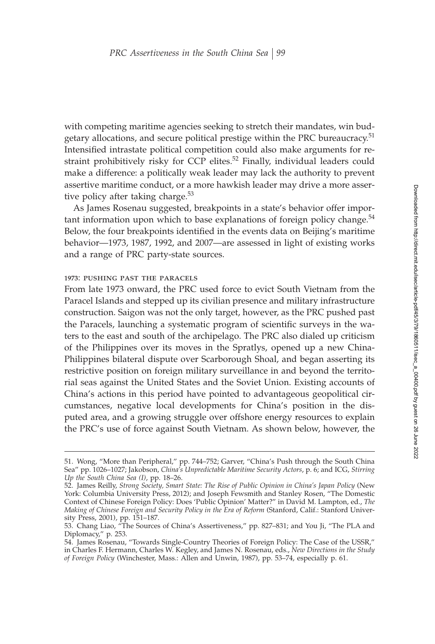with competing maritime agencies seeking to stretch their mandates, win budgetary allocations, and secure political prestige within the PRC bureaucracy.<sup>51</sup> Intensified intrastate political competition could also make arguments for restraint prohibitively risky for CCP elites.<sup>52</sup> Finally, individual leaders could make a difference: a politically weak leader may lack the authority to prevent assertive maritime conduct, or a more hawkish leader may drive a more assertive policy after taking charge. $53$ 

As James Rosenau suggested, breakpoints in a state's behavior offer important information upon which to base explanations of foreign policy change. $54$ Below, the four breakpoints identified in the events data on Beijing's maritime behavior—1973, 1987, 1992, and 2007—are assessed in light of existing works and a range of PRC party-state sources.

### 1973: pushing past the paracels

From late 1973 onward, the PRC used force to evict South Vietnam from the Paracel Islands and stepped up its civilian presence and military infrastructure construction. Saigon was not the only target, however, as the PRC pushed past the Paracels, launching a systematic program of scientific surveys in the waters to the east and south of the archipelago. The PRC also dialed up criticism of the Philippines over its moves in the Spratlys, opened up a new China-Philippines bilateral dispute over Scarborough Shoal, and began asserting its restrictive position on foreign military surveillance in and beyond the territorial seas against the United States and the Soviet Union. Existing accounts of China's actions in this period have pointed to advantageous geopolitical circumstances, negative local developments for China's position in the disputed area, and a growing struggle over offshore energy resources to explain the PRC's use of force against South Vietnam. As shown below, however, the

<sup>51.</sup> Wong, "More than Peripheral," pp. 744–752; Garver, "China's Push through the South China Sea" pp. 1026–1027; Jakobson, *China's Unpredictable Maritime Security Actors*, p. 6; and ICG, *Stirring Up the South China Sea (I)*, pp. 18–26.

<sup>52.</sup> James Reilly, *Strong Society, Smart State: The Rise of Public Opinion in China's Japan Policy* (New York: Columbia University Press, 2012); and Joseph Fewsmith and Stanley Rosen, "The Domestic Context of Chinese Foreign Policy: Does 'Public Opinion' Matter?" in David M. Lampton, ed., *The Making of Chinese Foreign and Security Policy in the Era of Reform* (Stanford, Calif.: Stanford University Press, 2001), pp. 151–187.

<sup>53.</sup> Chang Liao, "The Sources of China's Assertiveness," pp. 827–831; and You Ji, "The PLA and Diplomacy," p. 253.

<sup>54.</sup> James Rosenau, "Towards Single-Country Theories of Foreign Policy: The Case of the USSR," in Charles F. Hermann, Charles W. Kegley, and James N. Rosenau, eds., *New Directions in the Study of Foreign Policy* (Winchester, Mass.: Allen and Unwin, 1987), pp. 53–74, especially p. 61.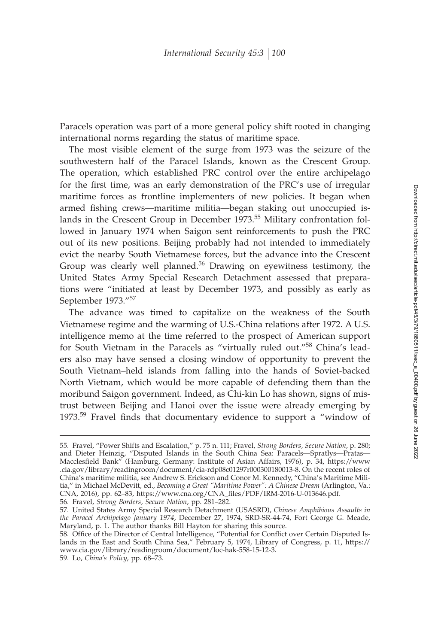Paracels operation was part of a more general policy shift rooted in changing international norms regarding the status of maritime space.

The most visible element of the surge from 1973 was the seizure of the southwestern half of the Paracel Islands, known as the Crescent Group. The operation, which established PRC control over the entire archipelago for the first time, was an early demonstration of the PRC's use of irregular maritime forces as frontline implementers of new policies. It began when armed fishing crews—maritime militia—began staking out unoccupied islands in the Crescent Group in December 1973.<sup>55</sup> Military confrontation followed in January 1974 when Saigon sent reinforcements to push the PRC out of its new positions. Beijing probably had not intended to immediately evict the nearby South Vietnamese forces, but the advance into the Crescent Group was clearly well planned.<sup>56</sup> Drawing on eyewitness testimony, the United States Army Special Research Detachment assessed that preparations were "initiated at least by December 1973, and possibly as early as September 1973."<sup>57</sup>

The advance was timed to capitalize on the weakness of the South Vietnamese regime and the warming of U.S.-China relations after 1972. A U.S. intelligence memo at the time referred to the prospect of American support for South Vietnam in the Paracels as "virtually ruled out."<sup>58</sup> China's leaders also may have sensed a closing window of opportunity to prevent the South Vietnam–held islands from falling into the hands of Soviet-backed North Vietnam, which would be more capable of defending them than the moribund Saigon government. Indeed, as Chi-kin Lo has shown, signs of mistrust between Beijing and Hanoi over the issue were already emerging by 1973. $59$  Fravel finds that documentary evidence to support a "window of

56. Fravel, *Strong Borders, Secure Nation*, pp. 281–282.

<sup>55.</sup> Fravel, "Power Shifts and Escalation," p. 75 n. 111; Fravel, *Strong Borders, Secure Nation*, p. 280; and Dieter Heinzig, "Disputed Islands in the South China Sea: Paracels—Spratlys—Pratas— Macclesfield Bank" (Hamburg, Germany: Institute of Asian Affairs, 1976), p. 34, https://www .cia.gov/library/readingroom/document/cia-rdp08c01297r000300180013-8. On the recent roles of China's maritime militia, see Andrew S. Erickson and Conor M. Kennedy, "China's Maritime Militia," in Michael McDevitt, ed., *Becoming a Great "Maritime Power": A Chinese Dream* (Arlington, Va.: CNA, 2016), pp. 62-83, https://www.cna.org/CNA\_files/PDF/IRM-2016-U-013646.pdf.

<sup>57.</sup> United States Army Special Research Detachment (USASRD), *Chinese Amphibious Assaults in the Paracel Archipelago January 1974*, December 27, 1974, SRD-SR-44-74, Fort George G. Meade, Maryland, p. 1. The author thanks Bill Hayton for sharing this source.

<sup>58.</sup> Office of the Director of Central Intelligence, "Potential for Conflict over Certain Disputed Islands in the East and South China Sea," February 5, 1974, Library of Congress, p. 11, https:// www.cia.gov/library/readingroom/document/loc-hak-558-15-12-3.

<sup>59.</sup> Lo, *China's Policy*, pp. 68–73.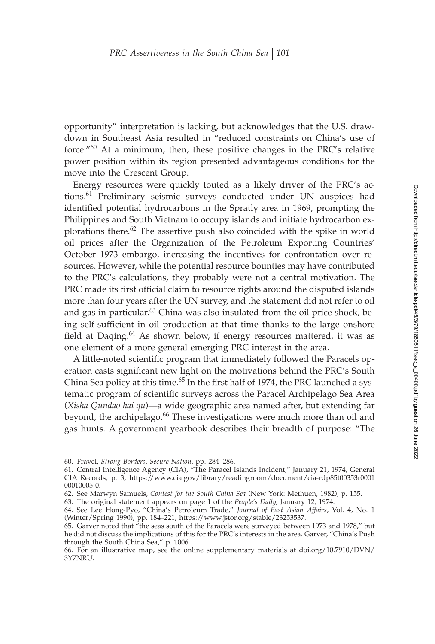opportunity" interpretation is lacking, but acknowledges that the U.S. drawdown in Southeast Asia resulted in "reduced constraints on China's use of force."60 At a minimum, then, these positive changes in the PRC's relative power position within its region presented advantageous conditions for the move into the Crescent Group.

Energy resources were quickly touted as a likely driver of the PRC's actions.<sup>61</sup> Preliminary seismic surveys conducted under UN auspices had identified potential hydrocarbons in the Spratly area in 1969, prompting the Philippines and South Vietnam to occupy islands and initiate hydrocarbon explorations there. $62$  The assertive push also coincided with the spike in world oil prices after the Organization of the Petroleum Exporting Countries' October 1973 embargo, increasing the incentives for confrontation over resources. However, while the potential resource bounties may have contributed to the PRC's calculations, they probably were not a central motivation. The PRC made its first official claim to resource rights around the disputed islands more than four years after the UN survey, and the statement did not refer to oil and gas in particular.<sup>63</sup> China was also insulated from the oil price shock, being self-sufficient in oil production at that time thanks to the large onshore field at Daqing.<sup>64</sup> As shown below, if energy resources mattered, it was as one element of a more general emerging PRC interest in the area.

A little-noted scientific program that immediately followed the Paracels operation casts significant new light on the motivations behind the PRC's South China Sea policy at this time.<sup>65</sup> In the first half of 1974, the PRC launched a systematic program of scientific surveys across the Paracel Archipelago Sea Area (*Xisha Qundao hai qu*)—a wide geographic area named after, but extending far beyond, the archipelago.<sup>66</sup> These investigations were much more than oil and gas hunts. A government yearbook describes their breadth of purpose: "The

<sup>60.</sup> Fravel, *Strong Borders, Secure Nation*, pp. 284–286.

<sup>61.</sup> Central Intelligence Agency (CIA), "The Paracel Islands Incident," January 21, 1974, General CIA Records, p. 3, https://www.cia.gov/library/readingroom/document/cia-rdp85t00353r0001 00010005-0.

<sup>62.</sup> See Marwyn Samuels, *Contest for the South China Sea* (New York: Methuen, 1982), p. 155.

<sup>63.</sup> The original statement appears on page 1 of the *People's Daily*, January 12, 1974.

<sup>64.</sup> See Lee Hong-Pyo, "China's Petroleum Trade," *Journal of East Asian Affairs*, Vol. 4, No. 1 (Winter/Spring 1990), pp. 184–221, https://www.jstor.org/stable/23253537.

<sup>65.</sup> Garver noted that "the seas south of the Paracels were surveyed between 1973 and 1978," but he did not discuss the implications of this for the PRC's interests in the area. Garver, "China's Push through the South China Sea," p. 1006.

<sup>66.</sup> For an illustrative map, see the online supplementary materials at doi.org/10.7910/DVN/ 3Y7NRU.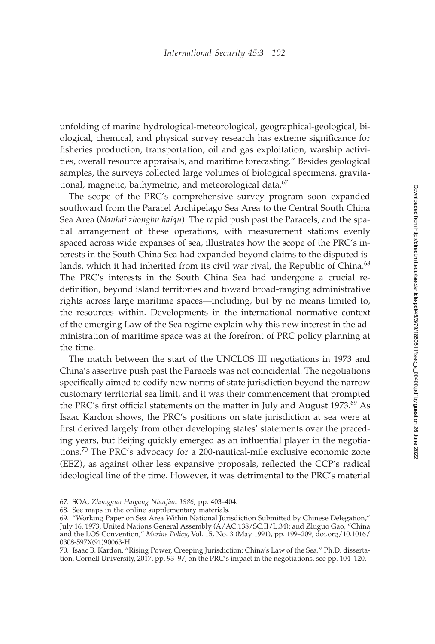unfolding of marine hydrological-meteorological, geographical-geological, biological, chemical, and physical survey research has extreme significance for fisheries production, transportation, oil and gas exploitation, warship activities, overall resource appraisals, and maritime forecasting." Besides geological samples, the surveys collected large volumes of biological specimens, gravitational, magnetic, bathymetric, and meteorological data. $67$ 

The scope of the PRC's comprehensive survey program soon expanded southward from the Paracel Archipelago Sea Area to the Central South China Sea Area (*Nanhai zhongbu haiqu*). The rapid push past the Paracels, and the spatial arrangement of these operations, with measurement stations evenly spaced across wide expanses of sea, illustrates how the scope of the PRC's interests in the South China Sea had expanded beyond claims to the disputed islands, which it had inherited from its civil war rival, the Republic of China.<sup>68</sup> The PRC's interests in the South China Sea had undergone a crucial redefinition, beyond island territories and toward broad-ranging administrative rights across large maritime spaces—including, but by no means limited to, the resources within. Developments in the international normative context of the emerging Law of the Sea regime explain why this new interest in the administration of maritime space was at the forefront of PRC policy planning at the time.

The match between the start of the UNCLOS III negotiations in 1973 and China's assertive push past the Paracels was not coincidental. The negotiations specifically aimed to codify new norms of state jurisdiction beyond the narrow customary territorial sea limit, and it was their commencement that prompted the PRC's first official statements on the matter in July and August  $1973.^{69}$  As Isaac Kardon shows, the PRC's positions on state jurisdiction at sea were at first derived largely from other developing states' statements over the preceding years, but Beijing quickly emerged as an influential player in the negotiations.<sup>70</sup> The PRC's advocacy for a 200-nautical-mile exclusive economic zone (EEZ), as against other less expansive proposals, reflected the CCP's radical ideological line of the time. However, it was detrimental to the PRC's material

<sup>67.</sup> SOA, *Zhongguo Haiyang Nianjian 1986*, pp. 403–404.

<sup>68.</sup> See maps in the online supplementary materials.

<sup>69. &</sup>quot;Working Paper on Sea Area Within National Jurisdiction Submitted by Chinese Delegation," July 16, 1973, United Nations General Assembly (A/AC.138/SC.II/L.34); and Zhiguo Gao, "China and the LOS Convention," *Marine Policy*, Vol. 15, No. 3 (May 1991), pp. 199–209, doi.org/10.1016/ 0308-597X(91)90063-H.

<sup>70.</sup> Isaac B. Kardon, "Rising Power, Creeping Jurisdiction: China's Law of the Sea," Ph.D. dissertation, Cornell University, 2017, pp. 93–97; on the PRC's impact in the negotiations, see pp. 104–120.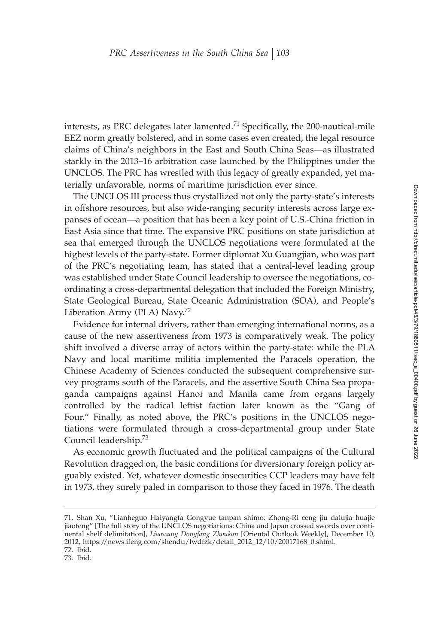interests, as PRC delegates later lamented.<sup>71</sup> Specifically, the 200-nautical-mile EEZ norm greatly bolstered, and in some cases even created, the legal resource claims of China's neighbors in the East and South China Seas—as illustrated starkly in the 2013–16 arbitration case launched by the Philippines under the UNCLOS. The PRC has wrestled with this legacy of greatly expanded, yet materially unfavorable, norms of maritime jurisdiction ever since.

The UNCLOS III process thus crystallized not only the party-state's interests in offshore resources, but also wide-ranging security interests across large expanses of ocean—a position that has been a key point of U.S.-China friction in East Asia since that time. The expansive PRC positions on state jurisdiction at sea that emerged through the UNCLOS negotiations were formulated at the highest levels of the party-state. Former diplomat Xu Guangjian, who was part of the PRC's negotiating team, has stated that a central-level leading group was established under State Council leadership to oversee the negotiations, coordinating a cross-departmental delegation that included the Foreign Ministry, State Geological Bureau, State Oceanic Administration (SOA), and People's Liberation Army (PLA)  $\text{Navy}$ .<sup>72</sup>

Evidence for internal drivers, rather than emerging international norms, as a cause of the new assertiveness from 1973 is comparatively weak. The policy shift involved a diverse array of actors within the party-state: while the PLA Navy and local maritime militia implemented the Paracels operation, the Chinese Academy of Sciences conducted the subsequent comprehensive survey programs south of the Paracels, and the assertive South China Sea propaganda campaigns against Hanoi and Manila came from organs largely controlled by the radical leftist faction later known as the "Gang of Four." Finally, as noted above, the PRC's positions in the UNCLOS negotiations were formulated through a cross-departmental group under State Council leadership.<sup>73</sup>

As economic growth fluctuated and the political campaigns of the Cultural Revolution dragged on, the basic conditions for diversionary foreign policy arguably existed. Yet, whatever domestic insecurities CCP leaders may have felt in 1973, they surely paled in comparison to those they faced in 1976. The death

<sup>71.</sup> Shan Xu, "Lianheguo Haiyangfa Gongyue tanpan shimo: Zhong-Ri ceng jiu dalujia huajie jiaofeng" [The full story of the UNCLOS negotiations: China and Japan crossed swords over continental shelf delimitation], *Liaowang Dongfang Zhoukan* [Oriental Outlook Weekly], December 10, 2012, https://news.ifeng.com/shendu/lwdfzk/detail\_2012\_12/10/20017168\_0.shtml. 72. Ibid.

<sup>73.</sup> Ibid.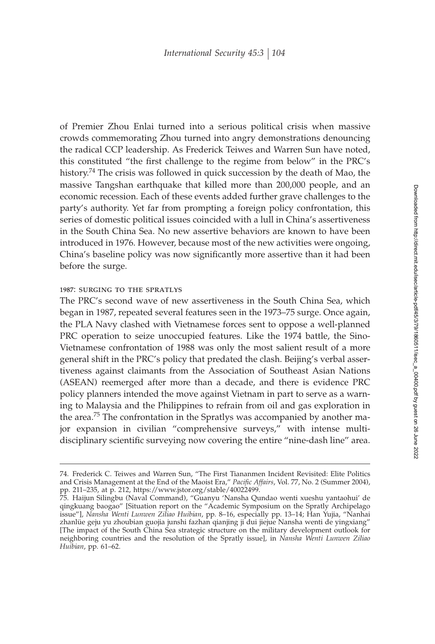of Premier Zhou Enlai turned into a serious political crisis when massive crowds commemorating Zhou turned into angry demonstrations denouncing the radical CCP leadership. As Frederick Teiwes and Warren Sun have noted, this constituted "the first challenge to the regime from below" in the PRC's history.<sup>74</sup> The crisis was followed in quick succession by the death of Mao, the massive Tangshan earthquake that killed more than 200,000 people, and an economic recession. Each of these events added further grave challenges to the party's authority. Yet far from prompting a foreign policy confrontation, this series of domestic political issues coincided with a lull in China's assertiveness in the South China Sea. No new assertive behaviors are known to have been introduced in 1976. However, because most of the new activities were ongoing, China's baseline policy was now significantly more assertive than it had been before the surge.

#### 1987: surging to the spratlys

The PRC's second wave of new assertiveness in the South China Sea, which began in 1987, repeated several features seen in the 1973–75 surge. Once again, the PLA Navy clashed with Vietnamese forces sent to oppose a well-planned PRC operation to seize unoccupied features. Like the 1974 battle, the Sino-Vietnamese confrontation of 1988 was only the most salient result of a more general shift in the PRC's policy that predated the clash. Beijing's verbal assertiveness against claimants from the Association of Southeast Asian Nations (ASEAN) reemerged after more than a decade, and there is evidence PRC policy planners intended the move against Vietnam in part to serve as a warning to Malaysia and the Philippines to refrain from oil and gas exploration in the area.<sup>75</sup> The confrontation in the Spratlys was accompanied by another major expansion in civilian "comprehensive surveys," with intense multidisciplinary scientific surveying now covering the entire "nine-dash line" area.

<sup>74.</sup> Frederick C. Teiwes and Warren Sun, "The First Tiananmen Incident Revisited: Elite Politics and Crisis Management at the End of the Maoist Era," Pacific Affairs, Vol. 77, No. 2 (Summer 2004), pp. 211–235, at p. 212, https://www.jstor.org/stable/40022499.

<sup>75.</sup> Haijun Silingbu (Naval Command), "Guanyu 'Nansha Qundao wenti xueshu yantaohui' de qingkuang baogao" [Situation report on the "Academic Symposium on the Spratly Archipelago issue"], *Nansha Wenti Lunwen Ziliao Huibian*, pp. 8–16, especially pp. 13–14; Han Yujia, "Nanhai zhanlüe geju yu zhoubian guojia junshi fazhan qianjing ji dui jiejue Nansha wenti de yingxiang" [The impact of the South China Sea strategic structure on the military development outlook for neighboring countries and the resolution of the Spratly issue], in *Nansha Wenti Lunwen Ziliao Huibian*, pp. 61–62.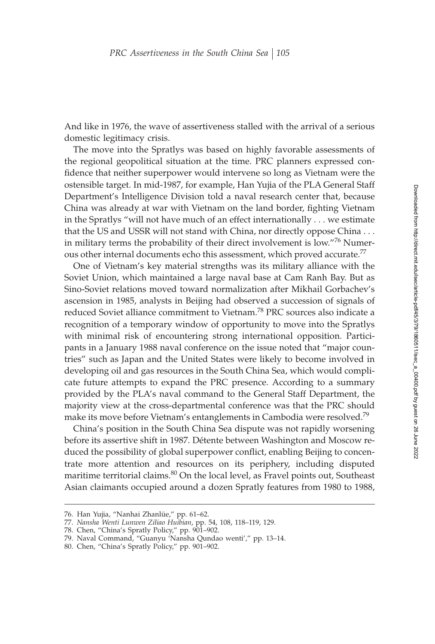And like in 1976, the wave of assertiveness stalled with the arrival of a serious domestic legitimacy crisis.

The move into the Spratlys was based on highly favorable assessments of the regional geopolitical situation at the time. PRC planners expressed confidence that neither superpower would intervene so long as Vietnam were the ostensible target. In mid-1987, for example, Han Yujia of the PLA General Staff Department's Intelligence Division told a naval research center that, because China was already at war with Vietnam on the land border, fighting Vietnam in the Spratlys "will not have much of an effect internationally . . . we estimate that the US and USSR will not stand with China, nor directly oppose China... in military terms the probability of their direct involvement is low."<sup>76</sup> Numerous other internal documents echo this assessment, which proved accurate.<sup>77</sup>

One of Vietnam's key material strengths was its military alliance with the Soviet Union, which maintained a large naval base at Cam Ranh Bay. But as Sino-Soviet relations moved toward normalization after Mikhail Gorbachev's ascension in 1985, analysts in Beijing had observed a succession of signals of reduced Soviet alliance commitment to Vietnam.<sup>78</sup> PRC sources also indicate a recognition of a temporary window of opportunity to move into the Spratlys with minimal risk of encountering strong international opposition. Participants in a January 1988 naval conference on the issue noted that "major countries" such as Japan and the United States were likely to become involved in developing oil and gas resources in the South China Sea, which would complicate future attempts to expand the PRC presence. According to a summary provided by the PLA's naval command to the General Staff Department, the majority view at the cross-departmental conference was that the PRC should make its move before Vietnam's entanglements in Cambodia were resolved.<sup>79</sup>

China's position in the South China Sea dispute was not rapidly worsening before its assertive shift in 1987. Détente between Washington and Moscow reduced the possibility of global superpower conflict, enabling Beijing to concentrate more attention and resources on its periphery, including disputed maritime territorial claims.<sup>80</sup> On the local level, as Fravel points out, Southeast Asian claimants occupied around a dozen Spratly features from 1980 to 1988,

<sup>76.</sup> Han Yujia, "Nanhai Zhanlüe," pp. 61–62.

<sup>77.</sup> *Nansha Wenti Lunwen Ziliao Huibian*, pp. 54, 108, 118–119, 129.

<sup>78.</sup> Chen, "China's Spratly Policy," pp. 901–902.

<sup>79.</sup> Naval Command, "Guanyu 'Nansha Qundao wenti'," pp. 13–14.

<sup>80.</sup> Chen, "China's Spratly Policy," pp. 901–902.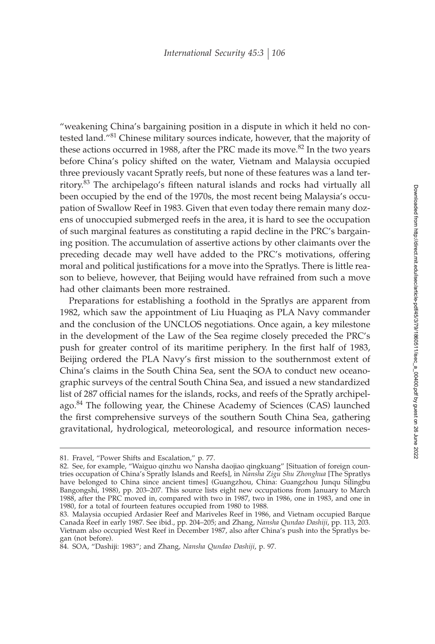"weakening China's bargaining position in a dispute in which it held no contested land."<sup>81</sup> Chinese military sources indicate, however, that the majority of these actions occurred in 1988, after the PRC made its move.<sup>82</sup> In the two years before China's policy shifted on the water, Vietnam and Malaysia occupied three previously vacant Spratly reefs, but none of these features was a land territory.<sup>83</sup> The archipelago's fifteen natural islands and rocks had virtually all been occupied by the end of the 1970s, the most recent being Malaysia's occupation of Swallow Reef in 1983. Given that even today there remain many dozens of unoccupied submerged reefs in the area, it is hard to see the occupation of such marginal features as constituting a rapid decline in the PRC's bargaining position. The accumulation of assertive actions by other claimants over the preceding decade may well have added to the PRC's motivations, offering moral and political justifications for a move into the Spratlys. There is little reason to believe, however, that Beijing would have refrained from such a move had other claimants been more restrained.

Preparations for establishing a foothold in the Spratlys are apparent from 1982, which saw the appointment of Liu Huaqing as PLA Navy commander and the conclusion of the UNCLOS negotiations. Once again, a key milestone in the development of the Law of the Sea regime closely preceded the PRC's push for greater control of its maritime periphery. In the first half of 1983, Beijing ordered the PLA Navy's first mission to the southernmost extent of China's claims in the South China Sea, sent the SOA to conduct new oceanographic surveys of the central South China Sea, and issued a new standardized list of 287 official names for the islands, rocks, and reefs of the Spratly archipelago.<sup>84</sup> The following year, the Chinese Academy of Sciences (CAS) launched the first comprehensive surveys of the southern South China Sea, gathering gravitational, hydrological, meteorological, and resource information neces-

<sup>81.</sup> Fravel, "Power Shifts and Escalation," p. 77.

<sup>82.</sup> See, for example, "Waiguo qinzhu wo Nansha daojiao qingkuang" [Situation of foreign countries occupation of China's Spratly Islands and Reefs], in *Nansha Zigu Shu Zhonghua* [The Spratlys have belonged to China since ancient times] (Guangzhou, China: Guangzhou Junqu Silingbu Bangongshi, 1988), pp. 203–207. This source lists eight new occupations from January to March 1988, after the PRC moved in, compared with two in 1987, two in 1986, one in 1983, and one in 1980, for a total of fourteen features occupied from 1980 to 1988.

<sup>83.</sup> Malaysia occupied Ardasier Reef and Mariveles Reef in 1986, and Vietnam occupied Barque Canada Reef in early 1987. See ibid., pp. 204–205; and Zhang, *Nansha Qundao Dashiji*, pp. 113, 203. Vietnam also occupied West Reef in December 1987, also after China's push into the Spratlys began (not before).

<sup>84.</sup> SOA, "Dashiji: 1983"; and Zhang, *Nansha Qundao Dashiji*, p. 97.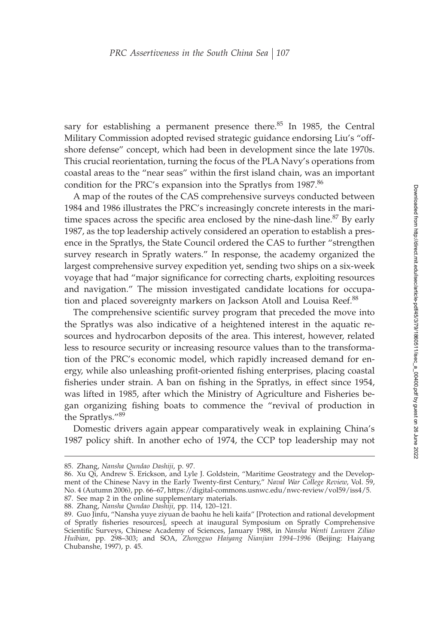sary for establishing a permanent presence there. $85$  In 1985, the Central Military Commission adopted revised strategic guidance endorsing Liu's "offshore defense" concept, which had been in development since the late 1970s. This crucial reorientation, turning the focus of the PLA Navy's operations from coastal areas to the "near seas" within the first island chain, was an important condition for the PRC's expansion into the Spratlys from 1987.<sup>86</sup>

A map of the routes of the CAS comprehensive surveys conducted between 1984 and 1986 illustrates the PRC's increasingly concrete interests in the maritime spaces across the specific area enclosed by the nine-dash line.<sup>87</sup> By early 1987, as the top leadership actively considered an operation to establish a presence in the Spratlys, the State Council ordered the CAS to further "strengthen survey research in Spratly waters." In response, the academy organized the largest comprehensive survey expedition yet, sending two ships on a six-week voyage that had "major significance for correcting charts, exploiting resources and navigation." The mission investigated candidate locations for occupation and placed sovereignty markers on Jackson Atoll and Louisa Reef.<sup>88</sup>

The comprehensive scientific survey program that preceded the move into the Spratlys was also indicative of a heightened interest in the aquatic resources and hydrocarbon deposits of the area. This interest, however, related less to resource security or increasing resource values than to the transformation of the PRC's economic model, which rapidly increased demand for energy, while also unleashing profit-oriented fishing enterprises, placing coastal fisheries under strain. A ban on fishing in the Spratlys, in effect since 1954, was lifted in 1985, after which the Ministry of Agriculture and Fisheries began organizing fishing boats to commence the "revival of production in the Spratlys."<sup>89</sup>

Domestic drivers again appear comparatively weak in explaining China's 1987 policy shift. In another echo of 1974, the CCP top leadership may not

<sup>85.</sup> Zhang, *Nansha Qundao Dashiji*, p. 97.

<sup>86.</sup> Xu Qi, Andrew S. Erickson, and Lyle J. Goldstein, "Maritime Geostrategy and the Development of the Chinese Navy in the Early Twenty-first Century," *Naval War College Review*, Vol. 59, No. 4 (Autumn 2006), pp. 66–67, https://digital-commons.usnwc.edu/nwc-review/vol59/iss4/5.

<sup>87.</sup> See map 2 in the online supplementary materials. 88. Zhang, *Nansha Qundao Dashiji*, pp. 114, 120–121.

<sup>89.</sup> Guo Jinfu, "Nansha yuye ziyuan de baohu he heli kaifa" [Protection and rational development of Spratly fisheries resources], speech at inaugural Symposium on Spratly Comprehensive Scientific Surveys, Chinese Academy of Sciences, January 1988, in *Nansha Wenti Lunwen Ziliao Huibian*, pp. 298–303; and SOA, *Zhongguo Haiyang Nianjian 1994–1996* (Beijing: Haiyang Chubanshe, 1997), p. 45.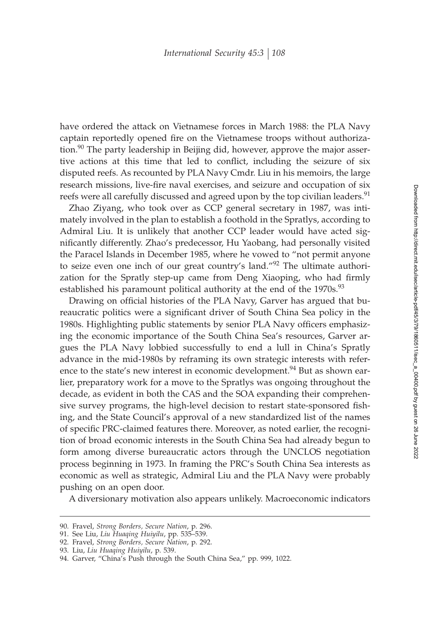have ordered the attack on Vietnamese forces in March 1988: the PLA Navy captain reportedly opened fire on the Vietnamese troops without authorization.<sup>90</sup> The party leadership in Beijing did, however, approve the major assertive actions at this time that led to conflict, including the seizure of six disputed reefs. As recounted by PLA Navy Cmdr. Liu in his memoirs, the large research missions, live-fire naval exercises, and seizure and occupation of six reefs were all carefully discussed and agreed upon by the top civilian leaders.<sup>91</sup>

Zhao Ziyang, who took over as CCP general secretary in 1987, was intimately involved in the plan to establish a foothold in the Spratlys, according to Admiral Liu. It is unlikely that another CCP leader would have acted significantly differently. Zhao's predecessor, Hu Yaobang, had personally visited the Paracel Islands in December 1985, where he vowed to "not permit anyone to seize even one inch of our great country's land."<sup>92</sup> The ultimate authorization for the Spratly step-up came from Deng Xiaoping, who had firmly established his paramount political authority at the end of the 1970s.<sup>93</sup>

Drawing on official histories of the PLA Navy, Garver has argued that bureaucratic politics were a significant driver of South China Sea policy in the 1980s. Highlighting public statements by senior PLA Navy officers emphasizing the economic importance of the South China Sea's resources, Garver argues the PLA Navy lobbied successfully to end a lull in China's Spratly advance in the mid-1980s by reframing its own strategic interests with reference to the state's new interest in economic development.<sup>94</sup> But as shown earlier, preparatory work for a move to the Spratlys was ongoing throughout the decade, as evident in both the CAS and the SOA expanding their comprehensive survey programs, the high-level decision to restart state-sponsored fishing, and the State Council's approval of a new standardized list of the names of specific PRC-claimed features there. Moreover, as noted earlier, the recognition of broad economic interests in the South China Sea had already begun to form among diverse bureaucratic actors through the UNCLOS negotiation process beginning in 1973. In framing the PRC's South China Sea interests as economic as well as strategic, Admiral Liu and the PLA Navy were probably pushing on an open door.

A diversionary motivation also appears unlikely. Macroeconomic indicators

<sup>90.</sup> Fravel, *Strong Borders, Secure Nation*, p. 296.

<sup>91.</sup> See Liu, *Liu Huaqing Huiyilu*, pp. 535–539.

<sup>92.</sup> Fravel, *Strong Borders, Secure Nation*, p. 292.

<sup>93.</sup> Liu, *Liu Huaqing Huiyilu*, p. 539.

<sup>94.</sup> Garver, "China's Push through the South China Sea," pp. 999, 1022.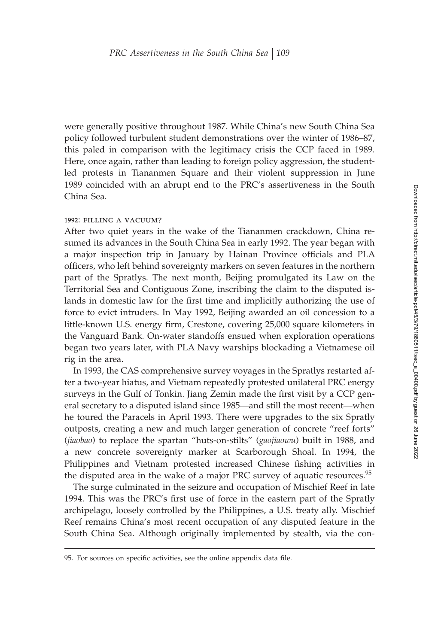were generally positive throughout 1987. While China's new South China Sea policy followed turbulent student demonstrations over the winter of 1986–87, this paled in comparison with the legitimacy crisis the CCP faced in 1989. Here, once again, rather than leading to foreign policy aggression, the studentled protests in Tiananmen Square and their violent suppression in June 1989 coincided with an abrupt end to the PRC's assertiveness in the South China Sea.

#### 1992: FILLING A VACUUM?

After two quiet years in the wake of the Tiananmen crackdown, China resumed its advances in the South China Sea in early 1992. The year began with a major inspection trip in January by Hainan Province officials and PLA officers, who left behind sovereignty markers on seven features in the northern part of the Spratlys. The next month, Beijing promulgated its Law on the Territorial Sea and Contiguous Zone, inscribing the claim to the disputed islands in domestic law for the first time and implicitly authorizing the use of force to evict intruders. In May 1992, Beijing awarded an oil concession to a little-known U.S. energy firm, Crestone, covering 25,000 square kilometers in the Vanguard Bank. On-water standoffs ensued when exploration operations began two years later, with PLA Navy warships blockading a Vietnamese oil rig in the area.

In 1993, the CAS comprehensive survey voyages in the Spratlys restarted after a two-year hiatus, and Vietnam repeatedly protested unilateral PRC energy surveys in the Gulf of Tonkin. Jiang Zemin made the first visit by a CCP general secretary to a disputed island since 1985—and still the most recent—when he toured the Paracels in April 1993. There were upgrades to the six Spratly outposts, creating a new and much larger generation of concrete "reef forts" (*jiaobao*) to replace the spartan "huts-on-stilts" (*gaojiaowu*) built in 1988, and a new concrete sovereignty marker at Scarborough Shoal. In 1994, the Philippines and Vietnam protested increased Chinese fishing activities in the disputed area in the wake of a major PRC survey of aquatic resources.<sup>95</sup>

The surge culminated in the seizure and occupation of Mischief Reef in late 1994. This was the PRC's first use of force in the eastern part of the Spratly archipelago, loosely controlled by the Philippines, a U.S. treaty ally. Mischief Reef remains China's most recent occupation of any disputed feature in the South China Sea. Although originally implemented by stealth, via the con-

<sup>95.</sup> For sources on specific activities, see the online appendix data file.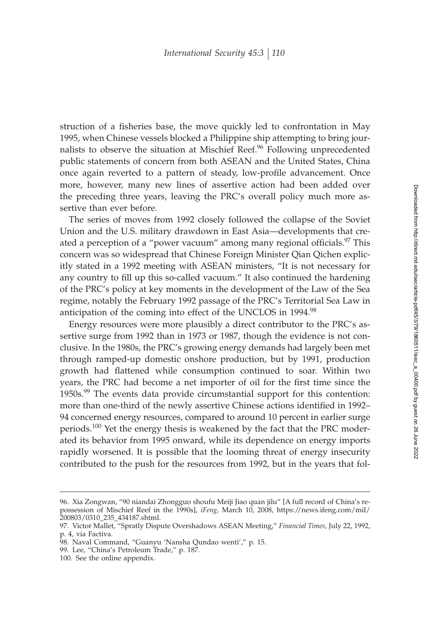struction of a fisheries base, the move quickly led to confrontation in May 1995, when Chinese vessels blocked a Philippine ship attempting to bring journalists to observe the situation at Mischief Reef.<sup>96</sup> Following unprecedented public statements of concern from both ASEAN and the United States, China once again reverted to a pattern of steady, low-profile advancement. Once more, however, many new lines of assertive action had been added over the preceding three years, leaving the PRC's overall policy much more assertive than ever before.

The series of moves from 1992 closely followed the collapse of the Soviet Union and the U.S. military drawdown in East Asia—developments that created a perception of a "power vacuum" among many regional officials.<sup>97</sup> This concern was so widespread that Chinese Foreign Minister Qian Qichen explicitly stated in a 1992 meeting with ASEAN ministers, "It is not necessary for any country to fill up this so-called vacuum." It also continued the hardening of the PRC's policy at key moments in the development of the Law of the Sea regime, notably the February 1992 passage of the PRC's Territorial Sea Law in anticipation of the coming into effect of the UNCLOS in 1994.<sup>98</sup>

Energy resources were more plausibly a direct contributor to the PRC's assertive surge from 1992 than in 1973 or 1987, though the evidence is not conclusive. In the 1980s, the PRC's growing energy demands had largely been met through ramped-up domestic onshore production, but by 1991, production growth had flattened while consumption continued to soar. Within two years, the PRC had become a net importer of oil for the first time since the 1950s.<sup>99</sup> The events data provide circumstantial support for this contention: more than one-third of the newly assertive Chinese actions identified in 1992– 94 concerned energy resources, compared to around 10 percent in earlier surge periods.<sup>100</sup> Yet the energy thesis is weakened by the fact that the PRC moderated its behavior from 1995 onward, while its dependence on energy imports rapidly worsened. It is possible that the looming threat of energy insecurity contributed to the push for the resources from 1992, but in the years that fol-

<sup>96.</sup> Xia Zongwan, "90 niandai Zhongguo shoufu Meiji Jiao quan jilu" [A full record of China's repossession of Mischief Reef in the 1990s], *iFeng*, March 10, 2008, https://news.ifeng.com/mil/ 200803/0310\_235\_434187.shtml.

<sup>97.</sup> Victor Mallet, "Spratly Dispute Overshadows ASEAN Meeting," *Financial Times*, July 22, 1992, p. 4, via Factiva.

<sup>98.</sup> Naval Command, "Guanyu 'Nansha Qundao wenti'," p. 15.

<sup>99.</sup> Lee, "China's Petroleum Trade," p. 187.

<sup>100.</sup> See the online appendix.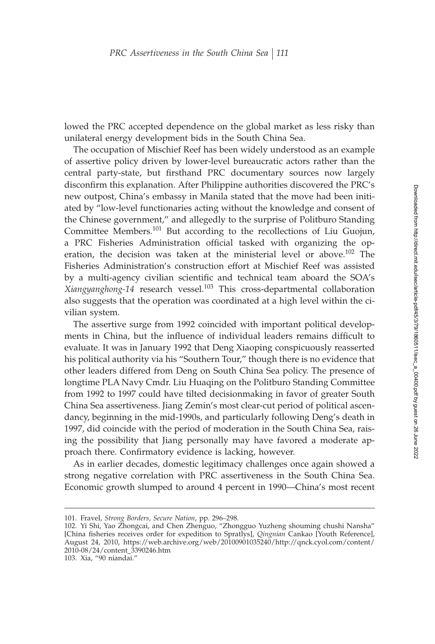lowed the PRC accepted dependence on the global market as less risky than unilateral energy development bids in the South China Sea.

The occupation of Mischief Reef has been widely understood as an example of assertive policy driven by lower-level bureaucratic actors rather than the central party-state, but firsthand PRC documentary sources now largely disconfirm this explanation. After Philippine authorities discovered the PRC's new outpost, China's embassy in Manila stated that the move had been initiated by "low-level functionaries acting without the knowledge and consent of the Chinese government," and allegedly to the surprise of Politburo Standing Committee Members.<sup>101</sup> But according to the recollections of Liu Guojun, a PRC Fisheries Administration official tasked with organizing the operation, the decision was taken at the ministerial level or above.<sup>102</sup> The Fisheries Administration's construction effort at Mischief Reef was assisted by a multi-agency civilian scientific and technical team aboard the SOA's *Xiangyanghong-14* research vessel.<sup>103</sup> This cross-departmental collaboration also suggests that the operation was coordinated at a high level within the civilian system.

The assertive surge from 1992 coincided with important political developments in China, but the influence of individual leaders remains difficult to evaluate. It was in January 1992 that Deng Xiaoping conspicuously reasserted his political authority via his "Southern Tour," though there is no evidence that other leaders differed from Deng on South China Sea policy. The presence of longtime PLA Navy Cmdr. Liu Huaqing on the Politburo Standing Committee from 1992 to 1997 could have tilted decisionmaking in favor of greater South China Sea assertiveness. Jiang Zemin's most clear-cut period of political ascendancy, beginning in the mid-1990s, and particularly following Deng's death in 1997, did coincide with the period of moderation in the South China Sea, raising the possibility that Jiang personally may have favored a moderate approach there. Confirmatory evidence is lacking, however.

As in earlier decades, domestic legitimacy challenges once again showed a strong negative correlation with PRC assertiveness in the South China Sea. Economic growth slumped to around 4 percent in 1990—China's most recent

<sup>101.</sup> Fravel, *Strong Borders, Secure Nation*, pp. 296–298.

<sup>102.</sup> Yi Shi, Yao Zhongcai, and Chen Zhenguo, "Zhongguo Yuzheng shouming chushi Nansha" [China fisheries receives order for expedition to Spratlys], *Qingnian* Cankao [Youth Reference], August 24, 2010, https://web.archive.org/web/20100901035240/http://qnck.cyol.com/content/ 2010-08/24/content\_3390246.htm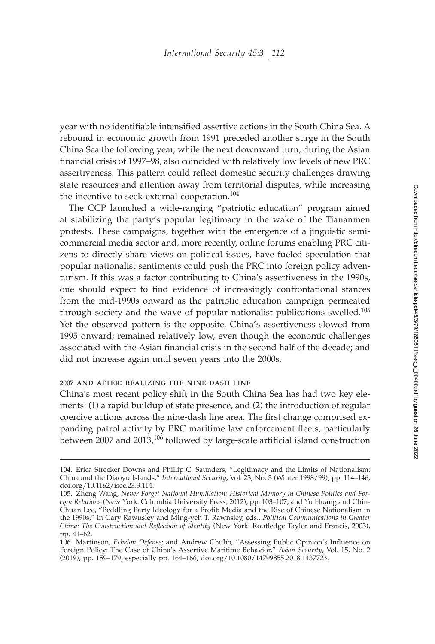year with no identifiable intensified assertive actions in the South China Sea. A rebound in economic growth from 1991 preceded another surge in the South China Sea the following year, while the next downward turn, during the Asian financial crisis of 1997–98, also coincided with relatively low levels of new PRC assertiveness. This pattern could reflect domestic security challenges drawing state resources and attention away from territorial disputes, while increasing the incentive to seek external cooperation.<sup>104</sup>

The CCP launched a wide-ranging "patriotic education" program aimed at stabilizing the party's popular legitimacy in the wake of the Tiananmen protests. These campaigns, together with the emergence of a jingoistic semicommercial media sector and, more recently, online forums enabling PRC citizens to directly share views on political issues, have fueled speculation that popular nationalist sentiments could push the PRC into foreign policy adventurism. If this was a factor contributing to China's assertiveness in the 1990s, one should expect to find evidence of increasingly confrontational stances from the mid-1990s onward as the patriotic education campaign permeated through society and the wave of popular nationalist publications swelled.<sup>105</sup> Yet the observed pattern is the opposite. China's assertiveness slowed from 1995 onward; remained relatively low, even though the economic challenges associated with the Asian financial crisis in the second half of the decade; and did not increase again until seven years into the 2000s.

#### 2007 and after: realizing the nine-dash line

China's most recent policy shift in the South China Sea has had two key elements: (1) a rapid buildup of state presence, and (2) the introduction of regular coercive actions across the nine-dash line area. The first change comprised expanding patrol activity by PRC maritime law enforcement fleets, particularly between 2007 and 2013,<sup>106</sup> followed by large-scale artificial island construction

<sup>104.</sup> Erica Strecker Downs and Phillip C. Saunders, "Legitimacy and the Limits of Nationalism: China and the Diaoyu Islands," *International Security*, Vol. 23, No. 3 (Winter 1998/99), pp. 114–146, doi.org/10.1162/isec.23.3.114.

<sup>105.</sup> Zheng Wang, *Never Forget National Humiliation: Historical Memory in Chinese Politics and Foreign Relations* (New York: Columbia University Press, 2012), pp. 103–107; and Yu Huang and Chin-Chuan Lee, "Peddling Party Ideology for a Profit: Media and the Rise of Chinese Nationalism in the 1990s," in Gary Rawnsley and Ming-yeh T. Rawnsley, eds., *Political Communications in Greater China: The Construction and Reºection of Identity* (New York: Routledge Taylor and Francis, 2003), pp. 41–62.

<sup>106.</sup> Martinson, *Echelon Defense*; and Andrew Chubb, "Assessing Public Opinion's Influence on Foreign Policy: The Case of China's Assertive Maritime Behavior," *Asian Security*, Vol. 15, No. 2 (2019), pp. 159–179, especially pp. 164–166, doi.org/10.1080/14799855.2018.1437723.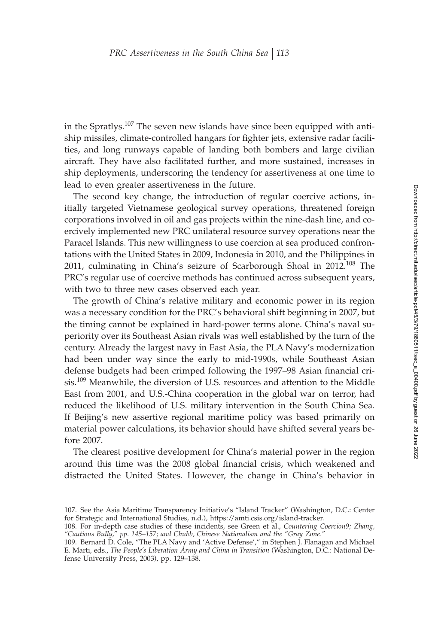in the Spratlys.<sup>107</sup> The seven new islands have since been equipped with antiship missiles, climate-controlled hangars for fighter jets, extensive radar facilities, and long runways capable of landing both bombers and large civilian aircraft. They have also facilitated further, and more sustained, increases in ship deployments, underscoring the tendency for assertiveness at one time to lead to even greater assertiveness in the future.

The second key change, the introduction of regular coercive actions, initially targeted Vietnamese geological survey operations, threatened foreign corporations involved in oil and gas projects within the nine-dash line, and coercively implemented new PRC unilateral resource survey operations near the Paracel Islands. This new willingness to use coercion at sea produced confrontations with the United States in 2009, Indonesia in 2010, and the Philippines in 2011, culminating in China's seizure of Scarborough Shoal in 2012.<sup>108</sup> The PRC's regular use of coercive methods has continued across subsequent years, with two to three new cases observed each year.

The growth of China's relative military and economic power in its region was a necessary condition for the PRC's behavioral shift beginning in 2007, but the timing cannot be explained in hard-power terms alone. China's naval superiority over its Southeast Asian rivals was well established by the turn of the century. Already the largest navy in East Asia, the PLA Navy's modernization had been under way since the early to mid-1990s, while Southeast Asian defense budgets had been crimped following the 1997–98 Asian financial crisis.<sup>109</sup> Meanwhile, the diversion of U.S. resources and attention to the Middle East from 2001, and U.S.-China cooperation in the global war on terror, had reduced the likelihood of U.S. military intervention in the South China Sea. If Beijing's new assertive regional maritime policy was based primarily on material power calculations, its behavior should have shifted several years before 2007.

The clearest positive development for China's material power in the region around this time was the 2008 global financial crisis, which weakened and distracted the United States. However, the change in China's behavior in

<sup>107.</sup> See the Asia Maritime Transparency Initiative's "Island Tracker" (Washington, D.C.: Center for Strategic and International Studies, n.d.), https://amti.csis.org/island-tracker.

<sup>108.</sup> For in-depth case studies of these incidents, see Green et al., *Countering Coercion9; Zhang, "Cautious Bully," pp. 145–157; and Chubb, Chinese Nationalism and the "Gray Zone."*

<sup>109.</sup> Bernard D. Cole, "The PLA Navy and 'Active Defense'," in Stephen J. Flanagan and Michael E. Marti, eds., *The People's Liberation Army and China in Transition* (Washington, D.C.: National Defense University Press, 2003), pp. 129–138.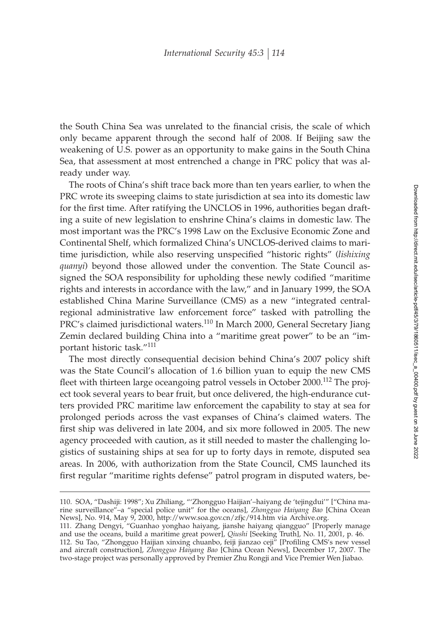the South China Sea was unrelated to the financial crisis, the scale of which only became apparent through the second half of 2008. If Beijing saw the weakening of U.S. power as an opportunity to make gains in the South China Sea, that assessment at most entrenched a change in PRC policy that was already under way.

The roots of China's shift trace back more than ten years earlier, to when the PRC wrote its sweeping claims to state jurisdiction at sea into its domestic law for the first time. After ratifying the UNCLOS in 1996, authorities began drafting a suite of new legislation to enshrine China's claims in domestic law. The most important was the PRC's 1998 Law on the Exclusive Economic Zone and Continental Shelf, which formalized China's UNCLOS-derived claims to maritime jurisdiction, while also reserving unspecified "historic rights" (*lishixing quanyi*) beyond those allowed under the convention. The State Council assigned the SOA responsibility for upholding these newly codified "maritime rights and interests in accordance with the law," and in January 1999, the SOA established China Marine Surveillance (CMS) as a new "integrated centralregional administrative law enforcement force" tasked with patrolling the PRC's claimed jurisdictional waters.<sup>110</sup> In March 2000, General Secretary Jiang Zemin declared building China into a "maritime great power" to be an "important historic task."<sup>111</sup>

The most directly consequential decision behind China's 2007 policy shift was the State Council's allocation of 1.6 billion yuan to equip the new CMS fleet with thirteen large oceangoing patrol vessels in October 2000.<sup>112</sup> The project took several years to bear fruit, but once delivered, the high-endurance cutters provided PRC maritime law enforcement the capability to stay at sea for prolonged periods across the vast expanses of China's claimed waters. The first ship was delivered in late 2004, and six more followed in 2005. The new agency proceeded with caution, as it still needed to master the challenging logistics of sustaining ships at sea for up to forty days in remote, disputed sea areas. In 2006, with authorization from the State Council, CMS launched its first regular "maritime rights defense" patrol program in disputed waters, be-

<sup>110.</sup> SOA, "Dashiji: 1998"; Xu Zhiliang, "'Zhongguo Haijian'–haiyang de 'tejingdui'" ["China marine surveillance"–a "special police unit" for the oceans], *Zhongguo Haiyang Bao* [China Ocean News], No. 914, May 9, 2000, http://www.soa.gov.cn/zfjc/914.htm via Archive.org.

<sup>111.</sup> Zhang Dengyi, "Guanhao yonghao haiyang, jianshe haiyang qiangguo" [Properly manage and use the oceans, build a maritime great power], *Qiushi* [Seeking Truth], No. 11, 2001, p. 46. 112. Su Tao, "Zhongguo Haijian xinxing chuanbo, feiji jianzao ceji" [Profiling CMS's new vessel and aircraft construction], *Zhongguo Haiyang Bao* [China Ocean News], December 17, 2007. The two-stage project was personally approved by Premier Zhu Rongji and Vice Premier Wen Jiabao.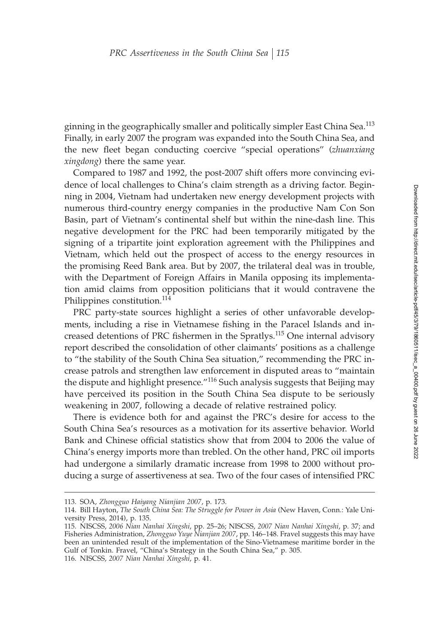ginning in the geographically smaller and politically simpler East China Sea.<sup>113</sup> Finally, in early 2007 the program was expanded into the South China Sea, and the new fleet began conducting coercive "special operations" (*zhuanxiang xingdong*) there the same year.

Compared to 1987 and 1992, the post-2007 shift offers more convincing evidence of local challenges to China's claim strength as a driving factor. Beginning in 2004, Vietnam had undertaken new energy development projects with numerous third-country energy companies in the productive Nam Con Son Basin, part of Vietnam's continental shelf but within the nine-dash line. This negative development for the PRC had been temporarily mitigated by the signing of a tripartite joint exploration agreement with the Philippines and Vietnam, which held out the prospect of access to the energy resources in the promising Reed Bank area. But by 2007, the trilateral deal was in trouble, with the Department of Foreign Affairs in Manila opposing its implementation amid claims from opposition politicians that it would contravene the Philippines constitution.<sup>114</sup>

PRC party-state sources highlight a series of other unfavorable developments, including a rise in Vietnamese fishing in the Paracel Islands and increased detentions of PRC fishermen in the Spratlys.<sup>115</sup> One internal advisory report described the consolidation of other claimants' positions as a challenge to "the stability of the South China Sea situation," recommending the PRC increase patrols and strengthen law enforcement in disputed areas to "maintain the dispute and highlight presence.<sup>"116</sup> Such analysis suggests that Beijing may have perceived its position in the South China Sea dispute to be seriously weakening in 2007, following a decade of relative restrained policy.

There is evidence both for and against the PRC's desire for access to the South China Sea's resources as a motivation for its assertive behavior. World Bank and Chinese official statistics show that from 2004 to 2006 the value of China's energy imports more than trebled. On the other hand, PRC oil imports had undergone a similarly dramatic increase from 1998 to 2000 without producing a surge of assertiveness at sea. Two of the four cases of intensified PRC

<sup>113.</sup> SOA, *Zhongguo Haiyang Nianjian 2007*, p. 173.

<sup>114.</sup> Bill Hayton, *The South China Sea: The Struggle for Power in Asia* (New Haven, Conn.: Yale University Press, 2014), p. 135.

<sup>115.</sup> NISCSS, *2006 Nian Nanhai Xingshi*, pp. 25–26; NISCSS, *2007 Nian Nanhai Xingshi*, p. 37; and Fisheries Administration, *Zhongguo Yuye Nianjian 2007*, pp. 146–148. Fravel suggests this may have been an unintended result of the implementation of the Sino-Vietnamese maritime border in the Gulf of Tonkin. Fravel, "China's Strategy in the South China Sea," p. 305.

<sup>116.</sup> NISCSS, *2007 Nian Nanhai Xingshi*, p. 41.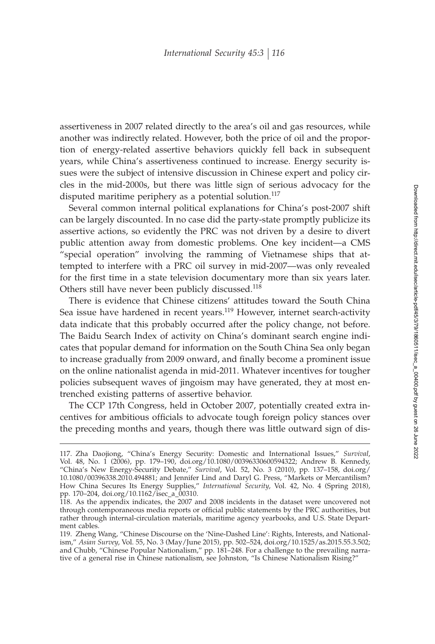assertiveness in 2007 related directly to the area's oil and gas resources, while another was indirectly related. However, both the price of oil and the proportion of energy-related assertive behaviors quickly fell back in subsequent years, while China's assertiveness continued to increase. Energy security issues were the subject of intensive discussion in Chinese expert and policy circles in the mid-2000s, but there was little sign of serious advocacy for the disputed maritime periphery as a potential solution.<sup>117</sup>

Several common internal political explanations for China's post-2007 shift can be largely discounted. In no case did the party-state promptly publicize its assertive actions, so evidently the PRC was not driven by a desire to divert public attention away from domestic problems. One key incident—a CMS "special operation" involving the ramming of Vietnamese ships that attempted to interfere with a PRC oil survey in mid-2007—was only revealed for the first time in a state television documentary more than six years later. Others still have never been publicly discussed.<sup>118</sup>

There is evidence that Chinese citizens' attitudes toward the South China Sea issue have hardened in recent years.<sup>119</sup> However, internet search-activity data indicate that this probably occurred after the policy change, not before. The Baidu Search Index of activity on China's dominant search engine indicates that popular demand for information on the South China Sea only began to increase gradually from 2009 onward, and finally become a prominent issue on the online nationalist agenda in mid-2011. Whatever incentives for tougher policies subsequent waves of jingoism may have generated, they at most entrenched existing patterns of assertive behavior.

The CCP 17th Congress, held in October 2007, potentially created extra incentives for ambitious officials to advocate tough foreign policy stances over the preceding months and years, though there was little outward sign of dis-

<sup>117.</sup> Zha Daojiong, "China's Energy Security: Domestic and International Issues," *Survival*, Vol. 48, No. 1 (2006), pp. 179–190, doi.org/10.1080/00396330600594322; Andrew B. Kennedy, "China's New Energy-Security Debate," *Survival*, Vol. 52, No. 3 (2010), pp. 137–158, doi.org/ 10.1080/00396338.2010.494881; and Jennifer Lind and Daryl G. Press, "Markets or Mercantilism? How China Secures Its Energy Supplies," *International Security*, Vol. 42, No. 4 (Spring 2018), pp. 170–204, doi.org/10.1162/isec\_a\_00310.

<sup>118.</sup> As the appendix indicates, the 2007 and 2008 incidents in the dataset were uncovered not through contemporaneous media reports or official public statements by the PRC authorities, but rather through internal-circulation materials, maritime agency yearbooks, and U.S. State Department cables.

<sup>119.</sup> Zheng Wang, "Chinese Discourse on the 'Nine-Dashed Line': Rights, Interests, and Nationalism," *Asian Survey*, Vol. 55, No. 3 (May/June 2015), pp. 502–524, doi.org/10.1525/as.2015.55.3.502; and Chubb, "Chinese Popular Nationalism," pp. 181–248. For a challenge to the prevailing narrative of a general rise in Chinese nationalism, see Johnston, "Is Chinese Nationalism Rising?"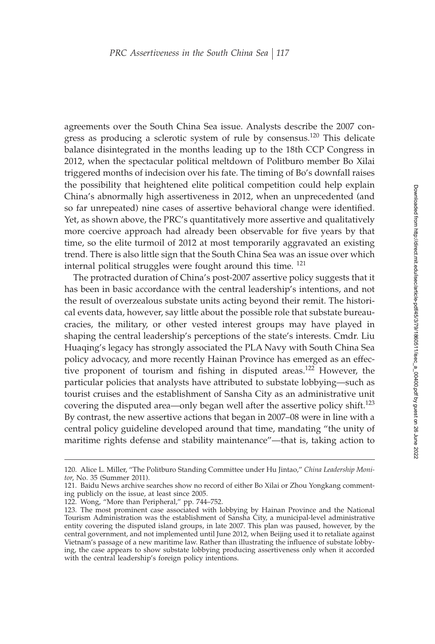agreements over the South China Sea issue. Analysts describe the 2007 congress as producing a sclerotic system of rule by consensus.<sup>120</sup> This delicate balance disintegrated in the months leading up to the 18th CCP Congress in 2012, when the spectacular political meltdown of Politburo member Bo Xilai triggered months of indecision over his fate. The timing of Bo's downfall raises the possibility that heightened elite political competition could help explain China's abnormally high assertiveness in 2012, when an unprecedented (and so far unrepeated) nine cases of assertive behavioral change were identified. Yet, as shown above, the PRC's quantitatively more assertive and qualitatively more coercive approach had already been observable for five years by that time, so the elite turmoil of 2012 at most temporarily aggravated an existing trend. There is also little sign that the South China Sea was an issue over which internal political struggles were fought around this time. <sup>121</sup>

The protracted duration of China's post-2007 assertive policy suggests that it has been in basic accordance with the central leadership's intentions, and not the result of overzealous substate units acting beyond their remit. The historical events data, however, say little about the possible role that substate bureaucracies, the military, or other vested interest groups may have played in shaping the central leadership's perceptions of the state's interests. Cmdr. Liu Huaqing's legacy has strongly associated the PLA Navy with South China Sea policy advocacy, and more recently Hainan Province has emerged as an effective proponent of tourism and fishing in disputed areas.<sup>122</sup> However, the particular policies that analysts have attributed to substate lobbying—such as tourist cruises and the establishment of Sansha City as an administrative unit covering the disputed area—only began well after the assertive policy shift.<sup>123</sup> By contrast, the new assertive actions that began in 2007–08 were in line with a central policy guideline developed around that time, mandating "the unity of maritime rights defense and stability maintenance"—that is, taking action to

<sup>120.</sup> Alice L. Miller, "The Politburo Standing Committee under Hu Jintao," *China Leadership Monitor*, No. 35 (Summer 2011).

<sup>121.</sup> Baidu News archive searches show no record of either Bo Xilai or Zhou Yongkang commenting publicly on the issue, at least since 2005.

<sup>122.</sup> Wong, "More than Peripheral," pp. 744–752.

<sup>123.</sup> The most prominent case associated with lobbying by Hainan Province and the National Tourism Administration was the establishment of Sansha City, a municipal-level administrative entity covering the disputed island groups, in late 2007. This plan was paused, however, by the central government, and not implemented until June 2012, when Beijing used it to retaliate against Vietnam's passage of a new maritime law. Rather than illustrating the influence of substate lobbying, the case appears to show substate lobbying producing assertiveness only when it accorded with the central leadership's foreign policy intentions.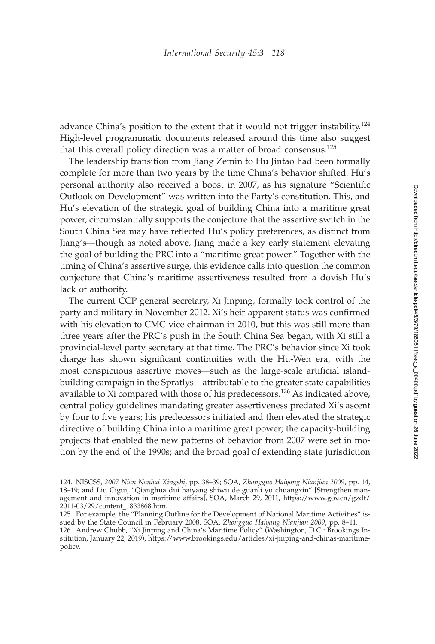advance China's position to the extent that it would not trigger instability.<sup>124</sup> High-level programmatic documents released around this time also suggest that this overall policy direction was a matter of broad consensus.<sup>125</sup>

The leadership transition from Jiang Zemin to Hu Jintao had been formally complete for more than two years by the time China's behavior shifted. Hu's personal authority also received a boost in 2007, as his signature "Scientific Outlook on Development" was written into the Party's constitution. This, and Hu's elevation of the strategic goal of building China into a maritime great power, circumstantially supports the conjecture that the assertive switch in the South China Sea may have reflected Hu's policy preferences, as distinct from Jiang's—though as noted above, Jiang made a key early statement elevating the goal of building the PRC into a "maritime great power." Together with the timing of China's assertive surge, this evidence calls into question the common conjecture that China's maritime assertiveness resulted from a dovish Hu's lack of authority.

The current CCP general secretary, Xi Jinping, formally took control of the party and military in November 2012. Xi's heir-apparent status was confirmed with his elevation to CMC vice chairman in 2010, but this was still more than three years after the PRC's push in the South China Sea began, with Xi still a provincial-level party secretary at that time. The PRC's behavior since Xi took charge has shown significant continuities with the Hu-Wen era, with the most conspicuous assertive moves—such as the large-scale artificial islandbuilding campaign in the Spratlys—attributable to the greater state capabilities available to Xi compared with those of his predecessors.<sup>126</sup> As indicated above, central policy guidelines mandating greater assertiveness predated Xi's ascent by four to five years; his predecessors initiated and then elevated the strategic directive of building China into a maritime great power; the capacity-building projects that enabled the new patterns of behavior from 2007 were set in motion by the end of the 1990s; and the broad goal of extending state jurisdiction

<sup>124.</sup> NISCSS, *2007 Nian Nanhai Xingshi*, pp. 38–39; SOA, *Zhongguo Haiyang Nianjian 2009*, pp. 14, 18–19; and Liu Cigui, "Qianghua dui haiyang shiwu de guanli yu chuangxin" [Strengthen management and innovation in maritime affairs], SOA, March 29, 2011, https://www.gov.cn/gzdt/ 2011-03/29/content\_1833868.htm.

<sup>125.</sup> For example, the "Planning Outline for the Development of National Maritime Activities" issued by the State Council in February 2008. SOA, *Zhongguo Haiyang Nianjian 2009*, pp. 8–11.

<sup>126.</sup> Andrew Chubb, "Xi Jinping and China's Maritime Policy" (Washington, D.C.: Brookings Institution, January 22, 2019), https://www.brookings.edu/articles/xi-jinping-and-chinas-maritimepolicy.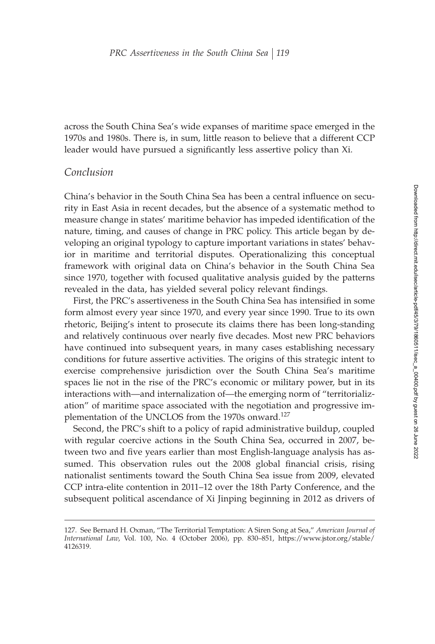across the South China Sea's wide expanses of maritime space emerged in the 1970s and 1980s. There is, in sum, little reason to believe that a different CCP leader would have pursued a significantly less assertive policy than Xi.

## *Conclusion*

China's behavior in the South China Sea has been a central influence on security in East Asia in recent decades, but the absence of a systematic method to measure change in states' maritime behavior has impeded identification of the nature, timing, and causes of change in PRC policy. This article began by developing an original typology to capture important variations in states' behavior in maritime and territorial disputes. Operationalizing this conceptual framework with original data on China's behavior in the South China Sea since 1970, together with focused qualitative analysis guided by the patterns revealed in the data, has yielded several policy relevant findings.

First, the PRC's assertiveness in the South China Sea has intensified in some form almost every year since 1970, and every year since 1990. True to its own rhetoric, Beijing's intent to prosecute its claims there has been long-standing and relatively continuous over nearly five decades. Most new PRC behaviors have continued into subsequent years, in many cases establishing necessary conditions for future assertive activities. The origins of this strategic intent to exercise comprehensive jurisdiction over the South China Sea's maritime spaces lie not in the rise of the PRC's economic or military power, but in its interactions with—and internalization of—the emerging norm of "territorialization" of maritime space associated with the negotiation and progressive implementation of the UNCLOS from the 1970s onward.<sup>127</sup>

Second, the PRC's shift to a policy of rapid administrative buildup, coupled with regular coercive actions in the South China Sea, occurred in 2007, between two and five years earlier than most English-language analysis has assumed. This observation rules out the 2008 global financial crisis, rising nationalist sentiments toward the South China Sea issue from 2009, elevated CCP intra-elite contention in 2011–12 over the 18th Party Conference, and the subsequent political ascendance of Xi Jinping beginning in 2012 as drivers of

<sup>127.</sup> See Bernard H. Oxman, "The Territorial Temptation: A Siren Song at Sea," *American Journal of International Law*, Vol. 100, No. 4 (October 2006), pp. 830–851, https://www.jstor.org/stable/ 4126319.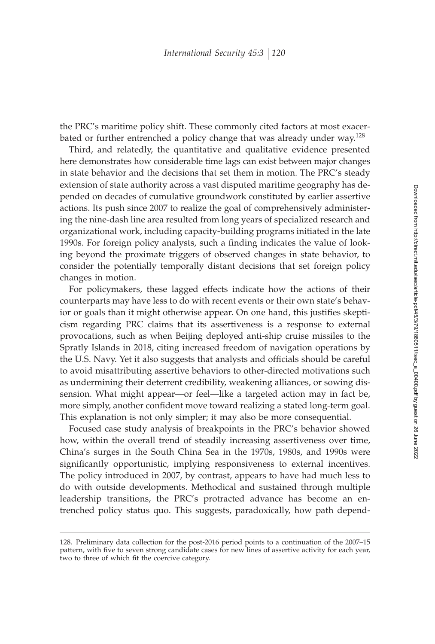the PRC's maritime policy shift. These commonly cited factors at most exacerbated or further entrenched a policy change that was already under way.<sup>128</sup>

Third, and relatedly, the quantitative and qualitative evidence presented here demonstrates how considerable time lags can exist between major changes in state behavior and the decisions that set them in motion. The PRC's steady extension of state authority across a vast disputed maritime geography has depended on decades of cumulative groundwork constituted by earlier assertive actions. Its push since 2007 to realize the goal of comprehensively administering the nine-dash line area resulted from long years of specialized research and organizational work, including capacity-building programs initiated in the late 1990s. For foreign policy analysts, such a finding indicates the value of looking beyond the proximate triggers of observed changes in state behavior, to consider the potentially temporally distant decisions that set foreign policy changes in motion.

For policymakers, these lagged effects indicate how the actions of their counterparts may have less to do with recent events or their own state's behavior or goals than it might otherwise appear. On one hand, this justifies skepticism regarding PRC claims that its assertiveness is a response to external provocations, such as when Beijing deployed anti-ship cruise missiles to the Spratly Islands in 2018, citing increased freedom of navigation operations by the U.S. Navy. Yet it also suggests that analysts and officials should be careful to avoid misattributing assertive behaviors to other-directed motivations such as undermining their deterrent credibility, weakening alliances, or sowing dissension. What might appear—or feel—like a targeted action may in fact be, more simply, another confident move toward realizing a stated long-term goal. This explanation is not only simpler; it may also be more consequential.

Focused case study analysis of breakpoints in the PRC's behavior showed how, within the overall trend of steadily increasing assertiveness over time, China's surges in the South China Sea in the 1970s, 1980s, and 1990s were significantly opportunistic, implying responsiveness to external incentives. The policy introduced in 2007, by contrast, appears to have had much less to do with outside developments. Methodical and sustained through multiple leadership transitions, the PRC's protracted advance has become an entrenched policy status quo. This suggests, paradoxically, how path depend-

<sup>128.</sup> Preliminary data collection for the post-2016 period points to a continuation of the 2007–15 pattern, with five to seven strong candidate cases for new lines of assertive activity for each year, two to three of which fit the coercive category.